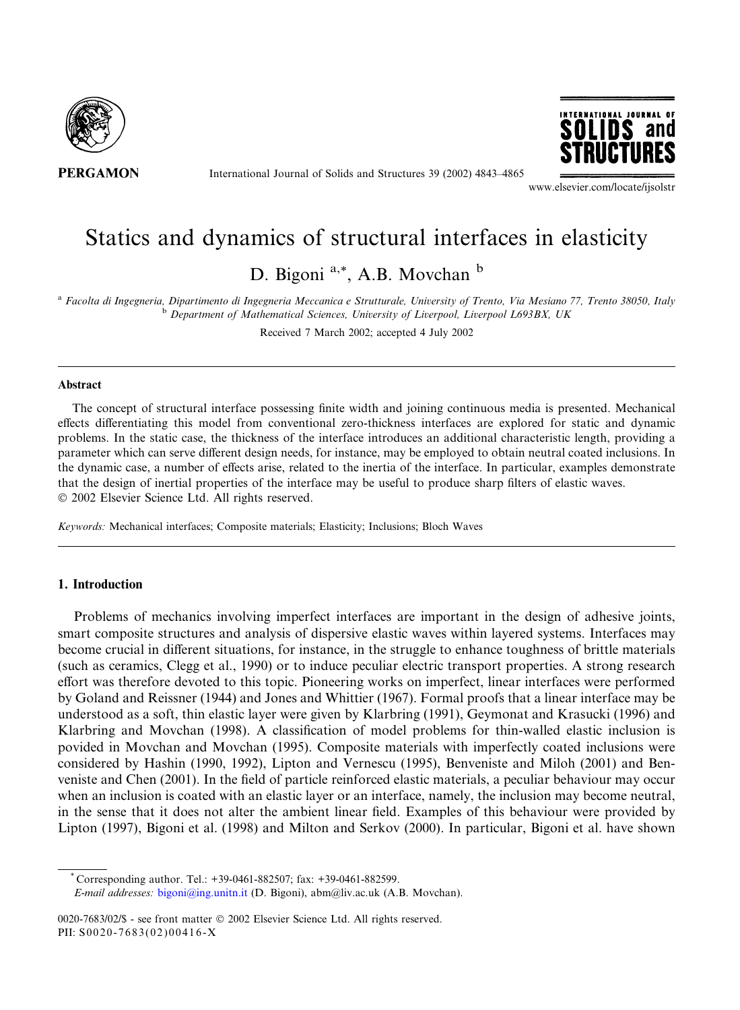

International Journal of Solids and Structures 39 (2002) 4843–4865



www.elsevier.com/locate/ijsolstr

# Statics and dynamics of structural interfaces in elasticity

D. Bigoni<sup>a,\*</sup>, A.B. Movchan  $<sup>b</sup>$ </sup>

<sup>a</sup> Facolta di Ingegneria, Dipartimento di Ingegneria Meccanica e Strutturale, University of Trento, Via Mesiano 77, Trento 38050, Italy  $b$  Department of Mathematical Sciences, University of Liverpool, Liverpool L693BX, UK

Received 7 March 2002; accepted 4 July 2002

# Abstract

The concept of structural interface possessing finite width and joining continuous media is presented. Mechanical effects differentiating this model from conventional zero-thickness interfaces are explored for static and dynamic problems. In the static case, the thickness of the interface introduces an additional characteristic length, providing a parameter which can serve different design needs, for instance, may be employed to obtain neutral coated inclusions. In the dynamic case, a number of effects arise, related to the inertia of the interface. In particular, examples demonstrate that the design of inertial properties of the interface may be useful to produce sharp filters of elastic waves. 2002 Elsevier Science Ltd. All rights reserved.

Keywords: Mechanical interfaces; Composite materials; Elasticity; Inclusions; Bloch Waves

# 1. Introduction

Problems of mechanics involving imperfect interfaces are important in the design of adhesive joints, smart composite structures and analysis of dispersive elastic waves within layered systems. Interfaces may become crucial in different situations, for instance, in the struggle to enhance toughness of brittle materials (such as ceramics, Clegg et al., 1990) or to induce peculiar electric transport properties. A strong research effort was therefore devoted to this topic. Pioneering works on imperfect, linear interfaces were performed by Goland and Reissner (1944) and Jones and Whittier (1967). Formal proofs that a linear interface may be understood as a soft, thin elastic layer were given by Klarbring (1991), Geymonat and Krasucki (1996) and Klarbring and Movchan (1998). A classification of model problems for thin-walled elastic inclusion is povided in Movchan and Movchan (1995). Composite materials with imperfectly coated inclusions were considered by Hashin (1990, 1992), Lipton and Vernescu (1995), Benveniste and Miloh (2001) and Benveniste and Chen (2001). In the field of particle reinforced elastic materials, a peculiar behaviour may occur when an inclusion is coated with an elastic layer or an interface, namely, the inclusion may become neutral, in the sense that it does not alter the ambient linear field. Examples of this behaviour were provided by Lipton (1997), Bigoni et al. (1998) and Milton and Serkov (2000). In particular, Bigoni et al. have shown

 $^{\circ}$  Corresponding author. Tel.: +39-0461-882507; fax: +39-0461-882599.

E-mail addresses: [bigoni@ing.unitn.it](mail to: bigoni@ing.unitn.it) (D. Bigoni), abm@liv.ac.uk (A.B. Movchan).

0020-7683/02/\$ - see front matter © 2002 Elsevier Science Ltd. All rights reserved. PII: S0020-7683(02)00416-X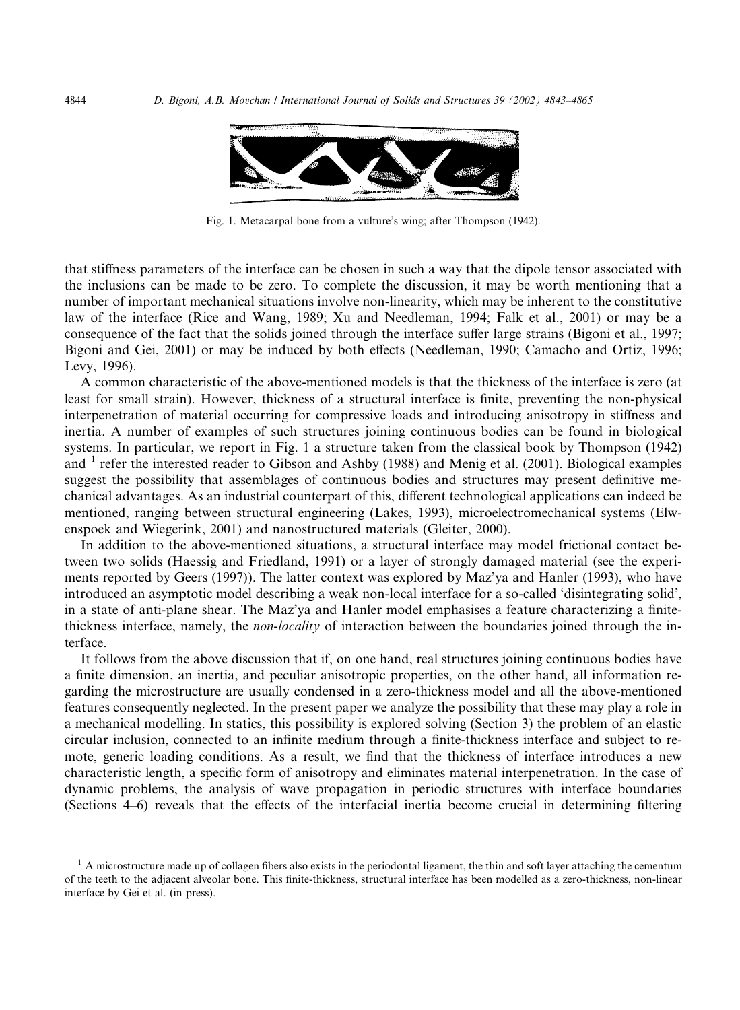

Fig. 1. Metacarpal bone from a vulture's wing; after Thompson (1942).

that stiffness parameters of the interface can be chosen in such a way that the dipole tensor associated with the inclusions can be made to be zero. To complete the discussion, it may be worth mentioning that a number of important mechanical situations involve non-linearity, which may be inherent to the constitutive law of the interface (Rice and Wang, 1989; Xu and Needleman, 1994; Falk et al., 2001) or may be a consequence of the fact that the solids joined through the interface suffer large strains (Bigoni et al., 1997; Bigoni and Gei, 2001) or may be induced by both effects (Needleman, 1990; Camacho and Ortiz, 1996; Levy, 1996).

A common characteristic of the above-mentioned models is that the thickness of the interface is zero (at least for small strain). However, thickness of a structural interface is finite, preventing the non-physical interpenetration of material occurring for compressive loads and introducing anisotropy in stiffness and inertia. A number of examples of such structures joining continuous bodies can be found in biological systems. In particular, we report in Fig. 1 a structure taken from the classical book by Thompson (1942) and <sup>1</sup> refer the interested reader to Gibson and Ashby (1988) and Menig et al. (2001). Biological examples suggest the possibility that assemblages of continuous bodies and structures may present definitive mechanical advantages. As an industrial counterpart of this, different technological applications can indeed be mentioned, ranging between structural engineering (Lakes, 1993), microelectromechanical systems (Elwenspoek and Wiegerink, 2001) and nanostructured materials (Gleiter, 2000).

In addition to the above-mentioned situations, a structural interface may model frictional contact between two solids (Haessig and Friedland, 1991) or a layer of strongly damaged material (see the experiments reported by Geers (1997)). The latter context was explored by Maz'ya and Hanler (1993), who have introduced an asymptotic model describing a weak non-local interface for a so-called 'disintegrating solid', in a state of anti-plane shear. The Maz'ya and Hanler model emphasises a feature characterizing a finitethickness interface, namely, the non-locality of interaction between the boundaries joined through the interface.

It follows from the above discussion that if, on one hand, real structures joining continuous bodies have a finite dimension, an inertia, and peculiar anisotropic properties, on the other hand, all information regarding the microstructure are usually condensed in a zero-thickness model and all the above-mentioned features consequently neglected. In the present paper we analyze the possibility that these may play a role in a mechanical modelling. In statics, this possibility is explored solving (Section 3) the problem of an elastic circular inclusion, connected to an infinite medium through a finite-thickness interface and subject to remote, generic loading conditions. As a result, we find that the thickness of interface introduces a new characteristic length, a specific form of anisotropy and eliminates material interpenetration. In the case of dynamic problems, the analysis of wave propagation in periodic structures with interface boundaries (Sections 4–6) reveals that the effects of the interfacial inertia become crucial in determining filtering

 $<sup>1</sup>$  A microstructure made up of collagen fibers also exists in the periodontal ligament, the thin and soft layer attaching the cementum</sup> of the teeth to the adjacent alveolar bone. This finite-thickness, structural interface has been modelled as a zero-thickness, non-linear interface by Gei et al. (in press).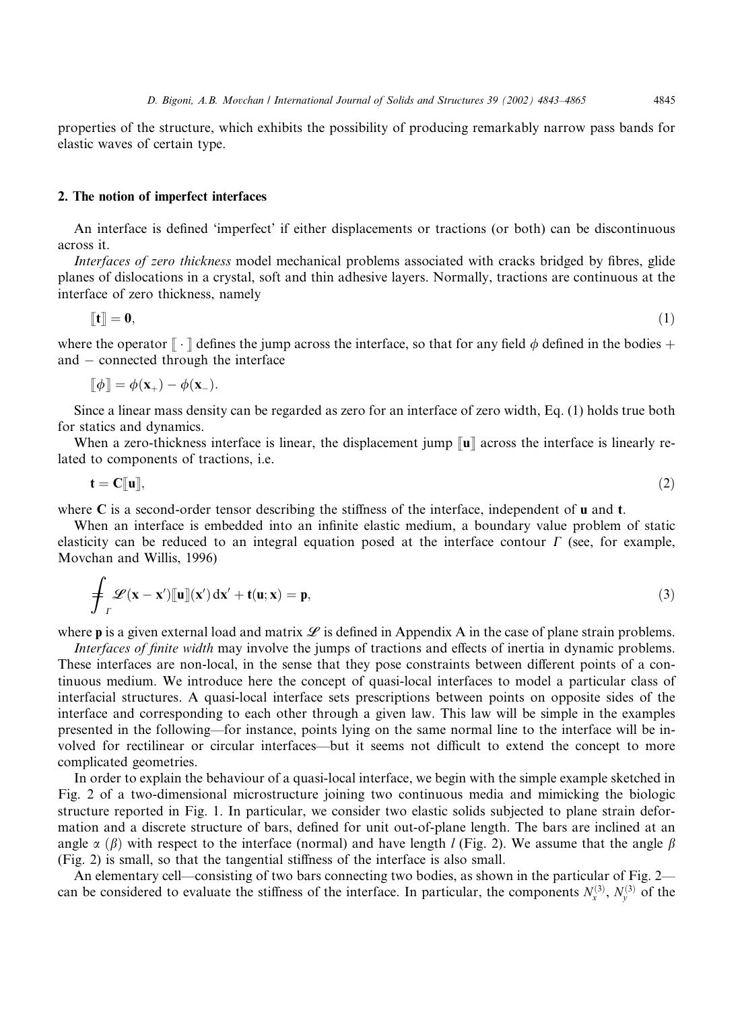properties of the structure, which exhibits the possibility of producing remarkably narrow pass bands for elastic waves of certain type.

## 2. The notion of imperfect interfaces

An interface is defined 'imperfect' if either displacements or tractions (or both) can be discontinuous across it.

Interfaces of zero thickness model mechanical problems associated with cracks bridged by fibres, glide planes of dislocations in a crystal, soft and thin adhesive layers. Normally, tractions are continuous at the interface of zero thickness, namely

$$
\llbracket \mathbf{t} \rrbracket = \mathbf{0},\tag{1}
$$

where the operator  $\lceil \cdot \rceil$  defines the jump across the interface, so that for any field  $\phi$  defined in the bodies + and  $-$  connected through the interface

 $\llbracket \phi \rrbracket = \phi(\mathbf{x}_+) - \phi(\mathbf{x}_-)$ .

Since a linear mass density can be regarded as zero for an interface of zero width, Eq. (1) holds true both for statics and dynamics.

When a zero-thickness interface is linear, the displacement jump  $\lceil u \rceil$  across the interface is linearly related to components of tractions, i.e.

$$
\mathbf{t} = \mathbf{C}[\![\mathbf{u}]\!],\tag{2}
$$

where C is a second-order tensor describing the stiffness of the interface, independent of u and t.

When an interface is embedded into an infinite elastic medium, a boundary value problem of static elasticity can be reduced to an integral equation posed at the interface contour  $\Gamma$  (see, for example, Movchan and Willis, 1996)

$$
\oint_{\Gamma} \mathcal{L}(\mathbf{x} - \mathbf{x}') [\![\mathbf{u}]\!](\mathbf{x}') \, \mathrm{d}\mathbf{x}' + \mathbf{t}(\mathbf{u}; \mathbf{x}) = \mathbf{p},\tag{3}
$$

where **p** is a given external load and matrix  $\mathcal{L}$  is defined in Appendix A in the case of plane strain problems.

Interfaces of finite width may involve the jumps of tractions and effects of inertia in dynamic problems. These interfaces are non-local, in the sense that they pose constraints between different points of a continuous medium. We introduce here the concept of quasi-local interfaces to model a particular class of interfacial structures. A quasi-local interface sets prescriptions between points on opposite sides of the interface and corresponding to each other through a given law. This law will be simple in the examples presented in the following––for instance, points lying on the same normal line to the interface will be involved for rectilinear or circular interfaces––but it seems not difficult to extend the concept to more complicated geometries.

In order to explain the behaviour of a quasi-local interface, we begin with the simple example sketched in Fig. 2 of a two-dimensional microstructure joining two continuous media and mimicking the biologic structure reported in Fig. 1. In particular, we consider two elastic solids subjected to plane strain deformation and a discrete structure of bars, defined for unit out-of-plane length. The bars are inclined at an angle  $\alpha$  ( $\beta$ ) with respect to the interface (normal) and have length l (Fig. 2). We assume that the angle  $\beta$ (Fig. 2) is small, so that the tangential stiffness of the interface is also small.

An elementary cell––consisting of two bars connecting two bodies, as shown in the particular of Fig. 2–– can be considered to evaluate the stiffness of the interface. In particular, the components  $N_x^{(3)}$ ,  $N_y^{(3)}$  of the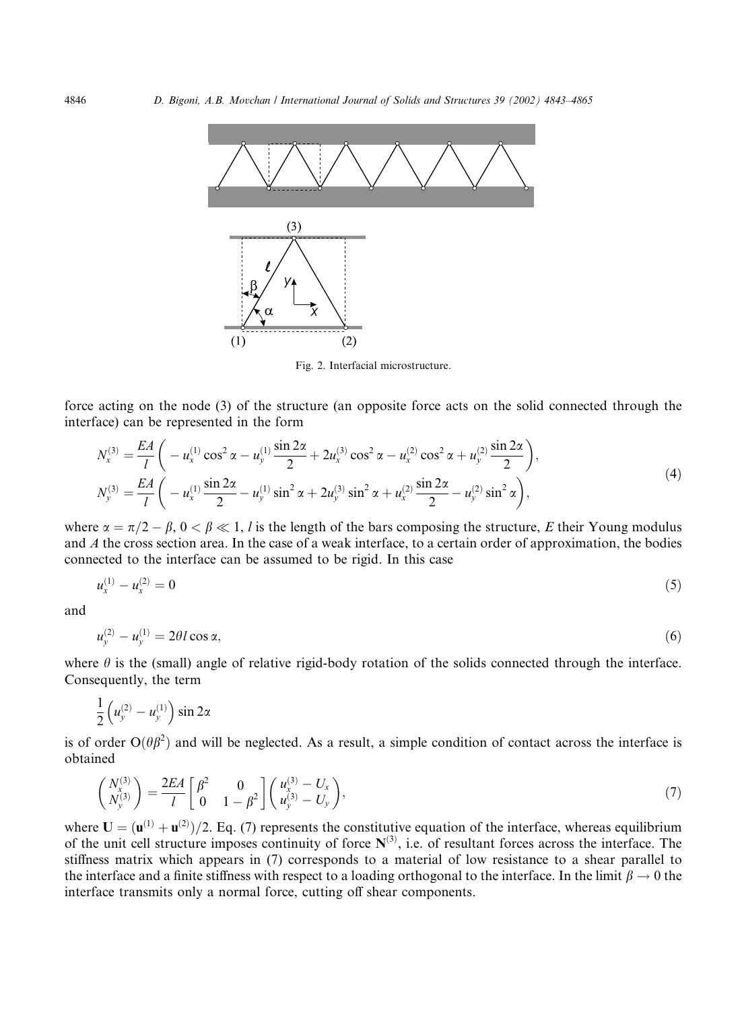

Fig. 2. Interfacial microstructure.

force acting on the node (3) of the structure (an opposite force acts on the solid connected through the interface) can be represented in the form

$$
N_x^{(3)} = \frac{EA}{l} \left( -u_x^{(1)} \cos^2 \alpha - u_y^{(1)} \frac{\sin 2\alpha}{2} + 2u_x^{(3)} \cos^2 \alpha - u_x^{(2)} \cos^2 \alpha + u_y^{(2)} \frac{\sin 2\alpha}{2} \right),
$$
  
\n
$$
N_y^{(3)} = \frac{EA}{l} \left( -u_x^{(1)} \frac{\sin 2\alpha}{2} - u_y^{(1)} \sin^2 \alpha + 2u_y^{(3)} \sin^2 \alpha + u_x^{(2)} \frac{\sin 2\alpha}{2} - u_y^{(2)} \sin^2 \alpha \right),
$$
\n(4)

where  $\alpha = \pi/2 - \beta$ ,  $0 < \beta \ll 1$ , l is the length of the bars composing the structure, E their Young modulus and A the cross section area. In the case of a weak interface, to a certain order of approximation, the bodies connected to the interface can be assumed to be rigid. In this case

$$
u_x^{(1)} - u_x^{(2)} = 0 \tag{5}
$$

and

$$
u_{y}^{(2)} - u_{y}^{(1)} = 2\theta l \cos \alpha, \tag{6}
$$

where  $\theta$  is the (small) angle of relative rigid-body rotation of the solids connected through the interface. Consequently, the term

$$
\frac{1}{2}\left(u_y^{(2)}-u_y^{(1)}\right)\sin 2\alpha
$$

is of order  $O(\theta\beta^2)$  and will be neglected. As a result, a simple condition of contact across the interface is obtained

$$
\begin{pmatrix}\nN_x^{(3)} \\
N_y^{(3)}\n\end{pmatrix} = \frac{2EA}{l} \begin{bmatrix}\n\beta^2 & 0 \\
0 & 1 - \beta^2\n\end{bmatrix} \begin{pmatrix}\nu_x^{(3)} - U_x \\
u_y^{(3)} - U_y\n\end{pmatrix},
$$
\n(7)

where  $U = (u^{(1)} + u^{(2)})/2$ . Eq. (7) represents the constitutive equation of the interface, whereas equilibrium of the unit cell structure imposes continuity of force  $N^{(3)}$ , i.e. of resultant forces across the interface. The stiffness matrix which appears in (7) corresponds to a material of low resistance to a shear parallel to the interface and a finite stiffness with respect to a loading orthogonal to the interface. In the limit  $\beta \to 0$  the interface transmits only a normal force, cutting off shear components.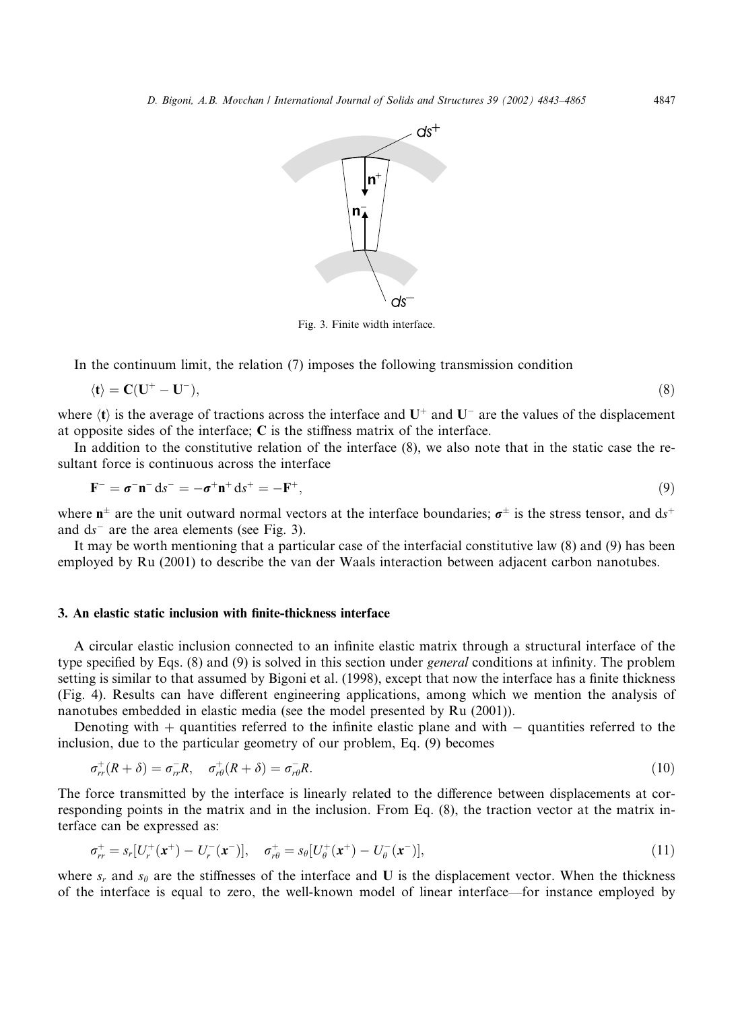

Fig. 3. Finite width interface.

In the continuum limit, the relation (7) imposes the following transmission condition

$$
\langle \mathbf{t} \rangle = \mathbf{C}(\mathbf{U}^+ - \mathbf{U}^-),\tag{8}
$$

where  $\langle t \rangle$  is the average of tractions across the interface and  $U^+$  and  $U^-$  are the values of the displacement at opposite sides of the interface:  $C$  is the stiffness matrix of the interface.

In addition to the constitutive relation of the interface (8), we also note that in the static case the resultant force is continuous across the interface

$$
\mathbf{F}^- = \boldsymbol{\sigma}^- \mathbf{n}^- d s^- = -\boldsymbol{\sigma}^+ \mathbf{n}^+ d s^+ = -\mathbf{F}^+, \tag{9}
$$

where  $n^{\pm}$  are the unit outward normal vectors at the interface boundaries:  $\sigma^{\pm}$  is the stress tensor, and ds<sup>+</sup> and  $ds^-$  are the area elements (see Fig. 3).

It may be worth mentioning that a particular case of the interfacial constitutive law (8) and (9) has been employed by Ru (2001) to describe the van der Waals interaction between adjacent carbon nanotubes.

#### 3. An elastic static inclusion with finite-thickness interface

A circular elastic inclusion connected to an infinite elastic matrix through a structural interface of the type specified by Eqs. (8) and (9) is solved in this section under *general* conditions at infinity. The problem setting is similar to that assumed by Bigoni et al. (1998), except that now the interface has a finite thickness (Fig. 4). Results can have different engineering applications, among which we mention the analysis of nanotubes embedded in elastic media (see the model presented by Ru (2001)).

Denoting with  $+$  quantities referred to the infinite elastic plane and with  $-$  quantities referred to the inclusion, due to the particular geometry of our problem, Eq. (9) becomes

$$
\sigma_{rr}^+(R+\delta) = \sigma_{rr}^-R, \quad \sigma_{r\theta}^+(R+\delta) = \sigma_{r\theta}^-R. \tag{10}
$$

The force transmitted by the interface is linearly related to the difference between displacements at corresponding points in the matrix and in the inclusion. From Eq. (8), the traction vector at the matrix interface can be expressed as:

$$
\sigma_r^+ = s_r [U_r^+ (\mathbf{x}^+) - U_r^- (\mathbf{x}^-)], \quad \sigma_{r\theta}^+ = s_\theta [U_\theta^+ (\mathbf{x}^+) - U_\theta^- (\mathbf{x}^-)], \tag{11}
$$

where  $s_r$  and  $s_\theta$  are the stiffnesses of the interface and U is the displacement vector. When the thickness of the interface is equal to zero, the well-known model of linear interface––for instance employed by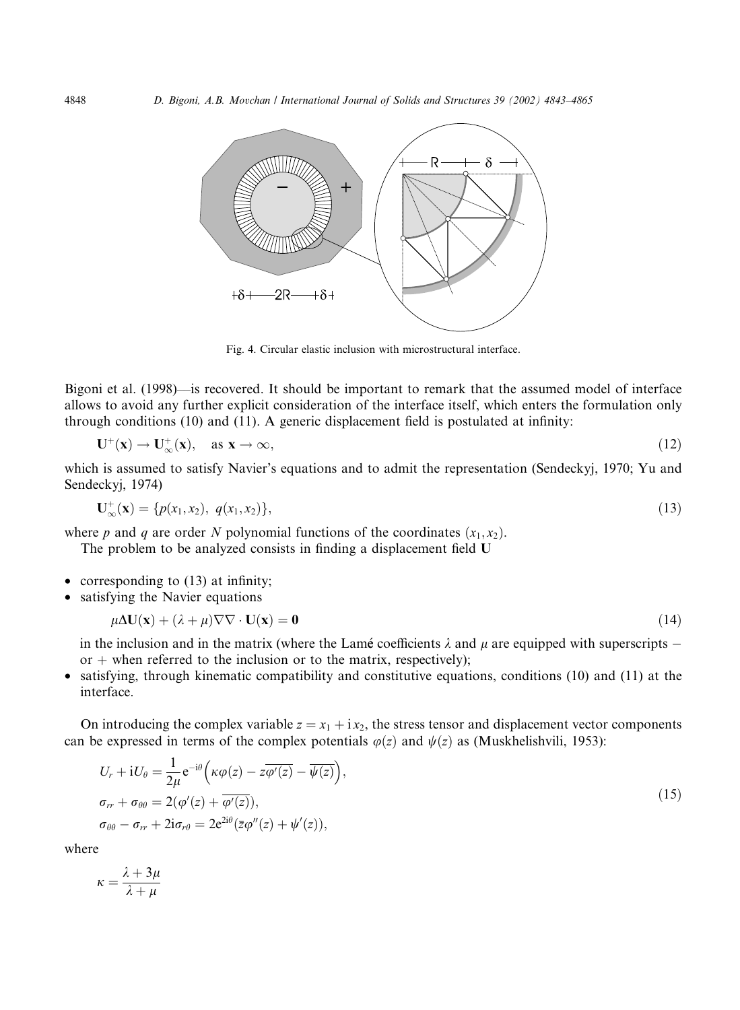

Fig. 4. Circular elastic inclusion with microstructural interface.

Bigoni et al. (1998)––is recovered. It should be important to remark that the assumed model of interface allows to avoid any further explicit consideration of the interface itself, which enters the formulation only through conditions (10) and (11). A generic displacement field is postulated at infinity:

$$
\mathbf{U}^+(\mathbf{x}) \to \mathbf{U}^+_{\infty}(\mathbf{x}), \quad \text{as } \mathbf{x} \to \infty,
$$
 (12)

which is assumed to satisfy Navier's equations and to admit the representation (Sendeckyj, 1970; Yu and Sendeckyj, 1974)

$$
\mathbf{U}_{\infty}^{+}(\mathbf{x}) = \{p(x_1, x_2), q(x_1, x_2)\},\tag{13}
$$

where p and q are order N polynomial functions of the coordinates  $(x_1, x_2)$ .

The problem to be analyzed consists in finding a displacement field U

- corresponding to (13) at infinity;
- satisfying the Navier equations

$$
\mu \Delta \mathbf{U}(\mathbf{x}) + (\lambda + \mu) \nabla \nabla \cdot \mathbf{U}(\mathbf{x}) = \mathbf{0}
$$
\n(14)

in the inclusion and in the matrix (where the Lamé coefficients  $\lambda$  and  $\mu$  are equipped with superscripts – or  $+$  when referred to the inclusion or to the matrix, respectively);

• satisfying, through kinematic compatibility and constitutive equations, conditions (10) and (11) at the interface.

On introducing the complex variable  $z = x_1 + ix_2$ , the stress tensor and displacement vector components can be expressed in terms of the complex potentials  $\varphi(z)$  and  $\psi(z)$  as (Muskhelishvili, 1953):

$$
U_r + iU_\theta = \frac{1}{2\mu} e^{-i\theta} \left( \kappa \varphi(z) - z\overline{\varphi'(z)} - \overline{\psi(z)} \right),
$$
  
\n
$$
\sigma_{rr} + \sigma_{\theta\theta} = 2(\varphi'(z) + \overline{\varphi'(z)}),
$$
  
\n
$$
\sigma_{\theta\theta} - \sigma_{rr} + 2i\sigma_{r\theta} = 2e^{2i\theta} \left( \overline{z}\varphi''(z) + \psi'(z) \right),
$$
\n(15)

where

$$
\kappa = \frac{\lambda + 3\mu}{\lambda + \mu}
$$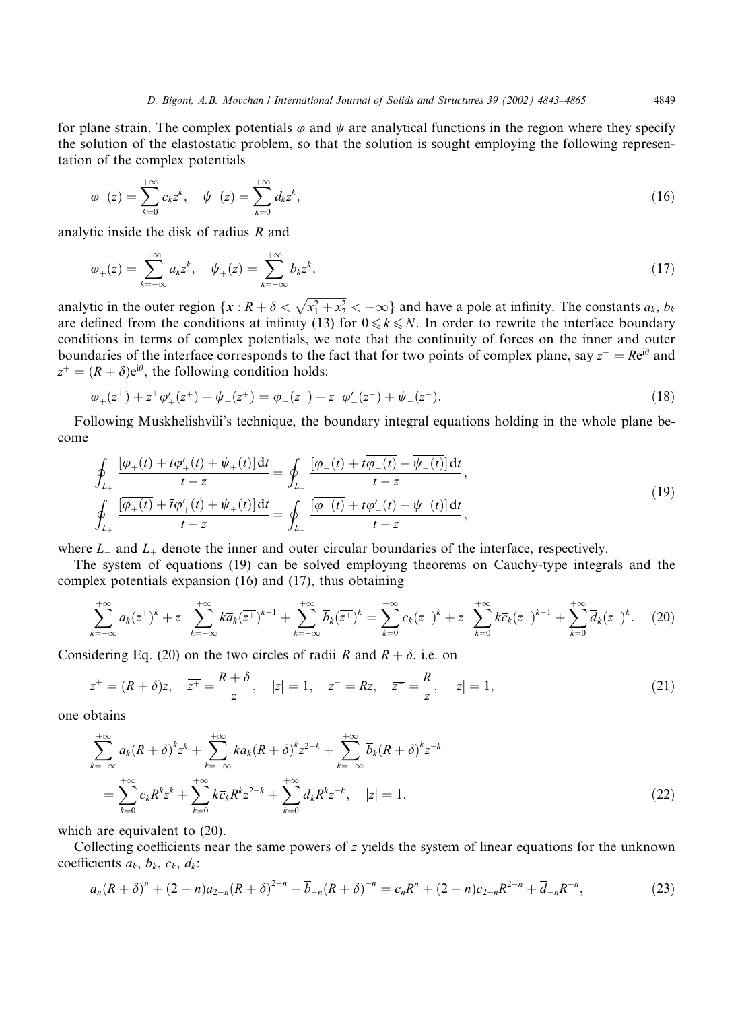for plane strain. The complex potentials  $\varphi$  and  $\psi$  are analytical functions in the region where they specify the solution of the elastostatic problem, so that the solution is sought employing the following representation of the complex potentials

$$
\varphi_{-}(z) = \sum_{k=0}^{+\infty} c_k z^k, \quad \psi_{-}(z) = \sum_{k=0}^{+\infty} d_k z^k,
$$
\n(16)

analytic inside the disk of radius R and

$$
\varphi_{+}(z) = \sum_{k=-\infty}^{+\infty} a_k z^k, \quad \psi_{+}(z) = \sum_{k=-\infty}^{+\infty} b_k z^k,
$$
\n(17)

analytic in the outer region  $\{x: R+\delta < \sqrt{x_1^2 + x_2^2} < +\infty\}$  and have a pole at infinity. The constants  $a_k, b_k$ are defined from the conditions at infinity (13) for  $0 \le k \le N$ . In order to rewrite the interface boundary conditions in terms of complex potentials, we note that the continuity of forces on the inner and outer boundaries of the interface corresponds to the fact that for two points of complex plane, say  $z^- = Re^{i\theta}$  and  $z^+ = (R + \delta)e^{i\theta}$ , the following condition holds:

$$
\varphi_{+}(z^{+}) + z^{+}\overline{\varphi_{+}'(z^{+})} + \overline{\psi_{+}(z^{+})} = \varphi_{-}(z^{-}) + z^{-}\overline{\varphi_{-}'(z^{-})} + \overline{\psi_{-}(z^{-})}.
$$
\n(18)

Following Muskhelishvili's technique, the boundary integral equations holding in the whole plane become

$$
\oint_{L_{+}} \frac{[\varphi_{+}(t) + t\overline{\varphi_{+}'(t)} + \overline{\psi_{+}(t)}] dt}{t - z} = \oint_{L_{-}} \frac{[\varphi_{-}(t) + t\overline{\varphi_{-}(t)} + \overline{\psi_{-}(t)}] dt}{t - z},
$$
\n
$$
\oint_{L_{+}} \frac{[\overline{\varphi_{+}(t)} + \overline{t}\varphi_{+}'(t) + \psi_{+}(t)] dt}{t - z} = \oint_{L_{-}} \frac{[\overline{\varphi_{-}(t)} + \overline{t}\varphi_{-}'(t) + \psi_{-}(t)] dt}{t - z},
$$
\n(19)

where  $L_{-}$  and  $L_{+}$  denote the inner and outer circular boundaries of the interface, respectively.

The system of equations (19) can be solved employing theorems on Cauchy-type integrals and the complex potentials expansion (16) and (17), thus obtaining

$$
\sum_{k=-\infty}^{+\infty} a_k (z^+)^k + z^+ \sum_{k=-\infty}^{+\infty} k \overline{a}_k (\overline{z^+})^{k-1} + \sum_{k=-\infty}^{+\infty} \overline{b}_k (\overline{z^+})^k = \sum_{k=0}^{+\infty} c_k (z^-)^k + z^- \sum_{k=0}^{+\infty} k \overline{c}_k (\overline{z^-})^{k-1} + \sum_{k=0}^{+\infty} \overline{d}_k (\overline{z^-})^k. \tag{20}
$$

Considering Eq. (20) on the two circles of radii R and  $R + \delta$ , i.e. on

$$
z^+ = (R + \delta)z, \quad \overline{z^+} = \frac{R + \delta}{z}, \quad |z| = 1, \quad z^- = Rz, \quad \overline{z^-} = \frac{R}{z}, \quad |z| = 1,
$$
 (21)

one obtains

$$
\sum_{k=-\infty}^{+\infty} a_k (R+\delta)^k z^k + \sum_{k=-\infty}^{+\infty} k \overline{a}_k (R+\delta)^k z^{2-k} + \sum_{k=-\infty}^{+\infty} \overline{b}_k (R+\delta)^k z^{-k}
$$
  
= 
$$
\sum_{k=0}^{+\infty} c_k R^k z^k + \sum_{k=0}^{+\infty} k \overline{c}_k R^k z^{2-k} + \sum_{k=0}^{+\infty} \overline{d}_k R^k z^{-k}, \quad |z|=1,
$$
 (22)

which are equivalent to  $(20)$ .

Collecting coefficients near the same powers of z yields the system of linear equations for the unknown coefficients  $a_k$ ,  $b_k$ ,  $c_k$ ,  $d_k$ :

$$
a_n(R+\delta)^n + (2-n)\overline{a}_{2-n}(R+\delta)^{2-n} + \overline{b}_{-n}(R+\delta)^{-n} = c_nR^n + (2-n)\overline{c}_{2-n}R^{2-n} + \overline{d}_{-n}R^{-n},
$$
\n(23)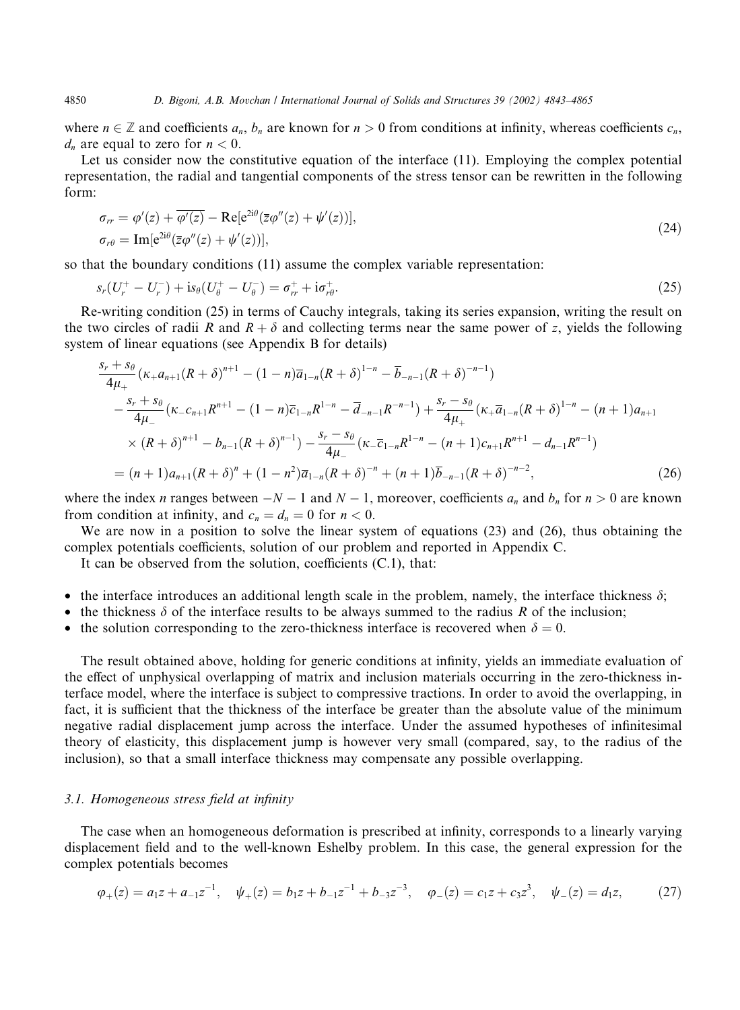where  $n \in \mathbb{Z}$  and coefficients  $a_n$ ,  $b_n$  are known for  $n > 0$  from conditions at infinity, whereas coefficients  $c_n$ ,  $d_n$  are equal to zero for  $n < 0$ .

Let us consider now the constitutive equation of the interface (11). Employing the complex potential representation, the radial and tangential components of the stress tensor can be rewritten in the following form:

$$
\sigma_{rr} = \varphi'(z) + \overline{\varphi'(z)} - \text{Re}[e^{2i\theta}(\overline{z}\varphi''(z) + \psi'(z))],
$$
  
\n
$$
\sigma_{r\theta} = \text{Im}[e^{2i\theta}(\overline{z}\varphi''(z) + \psi'(z))],
$$
\n(24)

so that the boundary conditions (11) assume the complex variable representation:

$$
s_r(U_r^+ - U_r^-) + \text{is}_{\theta}(U_{\theta}^+ - U_{\theta}^-) = \sigma_{rr}^+ + \text{i}\sigma_{r\theta}^+.
$$
\n(25)

Re-writing condition (25) in terms of Cauchy integrals, taking its series expansion, writing the result on the two circles of radii R and  $R + \delta$  and collecting terms near the same power of z, yields the following system of linear equations (see Appendix B for details)

$$
\frac{s_r + s_\theta}{4\mu_+} (\kappa_+ a_{n+1} (R+\delta)^{n+1} - (1-n)\overline{a}_{1-n} (R+\delta)^{1-n} - \overline{b}_{-n-1} (R+\delta)^{-n-1})
$$
  
\n
$$
- \frac{s_r + s_\theta}{4\mu_-} (\kappa_- c_{n+1} R^{n+1} - (1-n)\overline{c}_{1-n} R^{1-n} - \overline{d}_{-n-1} R^{-n-1}) + \frac{s_r - s_\theta}{4\mu_+} (\kappa_+ \overline{a}_{1-n} (R+\delta)^{1-n} - (n+1)a_{n+1})
$$
  
\n
$$
\times (R+\delta)^{n+1} - b_{n-1} (R+\delta)^{n-1}) - \frac{s_r - s_\theta}{4\mu_-} (\kappa_- \overline{c}_{1-n} R^{1-n} - (n+1)c_{n+1} R^{n+1} - d_{n-1} R^{n-1})
$$
  
\n
$$
= (n+1)a_{n+1} (R+\delta)^n + (1-n^2)\overline{a}_{1-n} (R+\delta)^{-n} + (n+1)\overline{b}_{-n-1} (R+\delta)^{-n-2},
$$
\n(26)

where the index n ranges between  $-N-1$  and  $N-1$ , moreover, coefficients  $a_n$  and  $b_n$  for  $n > 0$  are known from condition at infinity, and  $c_n = d_n = 0$  for  $n < 0$ .

We are now in a position to solve the linear system of equations (23) and (26), thus obtaining the complex potentials coefficients, solution of our problem and reported in Appendix C.

It can be observed from the solution, coefficients (C.1), that:

- the interface introduces an additional length scale in the problem, namely, the interface thickness  $\delta$ ;
- the thickness  $\delta$  of the interface results to be always summed to the radius R of the inclusion;
- the solution corresponding to the zero-thickness interface is recovered when  $\delta = 0$ .

The result obtained above, holding for generic conditions at infinity, yields an immediate evaluation of the effect of unphysical overlapping of matrix and inclusion materials occurring in the zero-thickness interface model, where the interface is subject to compressive tractions. In order to avoid the overlapping, in fact, it is sufficient that the thickness of the interface be greater than the absolute value of the minimum negative radial displacement jump across the interface. Under the assumed hypotheses of infinitesimal theory of elasticity, this displacement jump is however very small (compared, say, to the radius of the inclusion), so that a small interface thickness may compensate any possible overlapping.

## 3.1. Homogeneous stress field at infinity

The case when an homogeneous deformation is prescribed at infinity, corresponds to a linearly varying displacement field and to the well-known Eshelby problem. In this case, the general expression for the complex potentials becomes

$$
\varphi_{+}(z) = a_1 z + a_{-1} z^{-1}, \quad \psi_{+}(z) = b_1 z + b_{-1} z^{-1} + b_{-3} z^{-3}, \quad \varphi_{-}(z) = c_1 z + c_3 z^3, \quad \psi_{-}(z) = d_1 z,\tag{27}
$$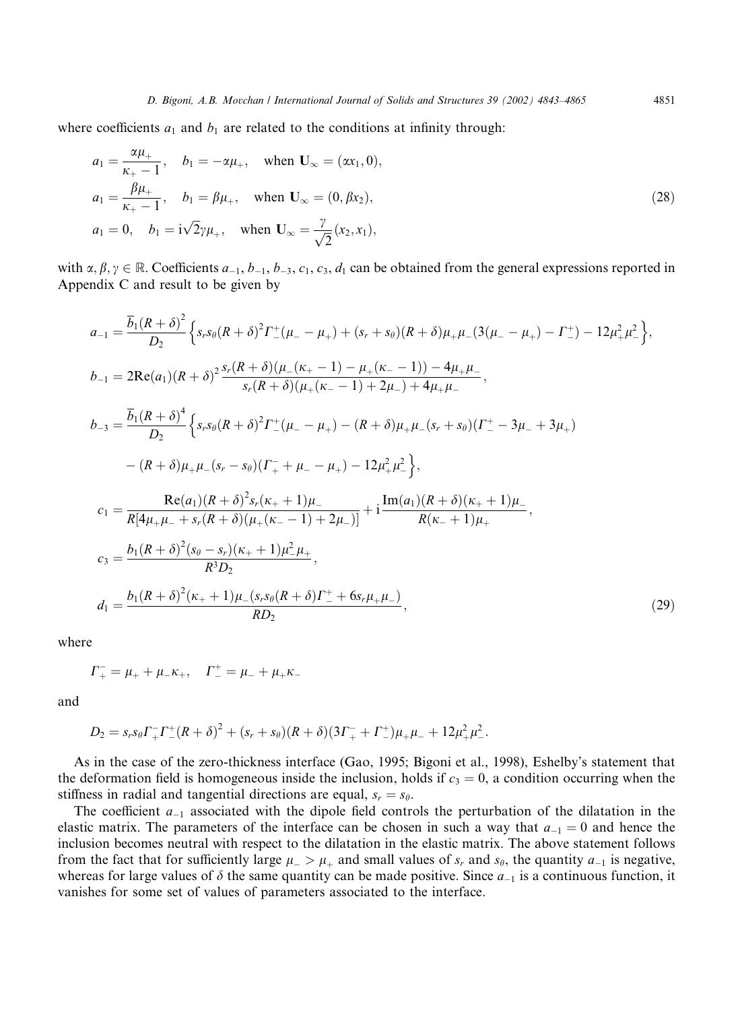where coefficients  $a_1$  and  $b_1$  are related to the conditions at infinity through:

$$
a_1 = \frac{\alpha \mu_+}{\kappa_+ - 1}, \quad b_1 = -\alpha \mu_+, \quad \text{when } \mathbf{U}_{\infty} = (\alpha x_1, 0),
$$
  
\n
$$
a_1 = \frac{\beta \mu_+}{\kappa_+ - 1}, \quad b_1 = \beta \mu_+, \quad \text{when } \mathbf{U}_{\infty} = (0, \beta x_2),
$$
  
\n
$$
a_1 = 0, \quad b_1 = i\sqrt{2}\gamma \mu_+, \quad \text{when } \mathbf{U}_{\infty} = \frac{\gamma}{\sqrt{2}}(x_2, x_1),
$$
\n(28)

with  $\alpha, \beta, \gamma \in \mathbb{R}$ . Coefficients  $a_{-1}, b_{-1}, b_{-3}, c_1, c_3, d_1$  can be obtained from the general expressions reported in Appendix C and result to be given by

$$
a_{-1} = \frac{\overline{b}_1(R+\delta)^2}{D_2} \left\{ s_r s_\theta (R+\delta)^2 \Gamma^+_-(\mu_- - \mu_+) + (s_r + s_\theta)(R+\delta) \mu_+ \mu_-(3(\mu_- - \mu_+) - \Gamma^+) - 12\mu_+^2 \mu_-^2 \right\},
$$
  
\n
$$
b_{-1} = 2\text{Re}(a_1)(R+\delta)^2 \frac{s_r(R+\delta)(\mu_-(\kappa_+-1) - \mu_+(\kappa_--1)) - 4\mu_+\mu_-}{s_r(R+\delta)(\mu_+(\kappa_--1) + 2\mu_-) + 4\mu_+\mu_-},
$$
  
\n
$$
b_{-3} = \frac{\overline{b}_1(R+\delta)^4}{D_2} \left\{ s_r s_\theta (R+\delta)^2 \Gamma^+_-(\mu_- - \mu_+) - (R+\delta)\mu_+\mu_-(s_r + s_\theta)(\Gamma^+_--3\mu_-+3\mu_+) \right\}
$$
  
\n
$$
- (R+\delta)\mu_+\mu_-(s_r - s_\theta)(\Gamma^-_++\mu_- - \mu_+) - 12\mu_+^2\mu_-^2 \right\},
$$
  
\n
$$
c_1 = \frac{\text{Re}(a_1)(R+\delta)^2 s_r(\kappa_++1)\mu_-}{R[4\mu_+\mu_-+s_r(R+\delta)(\mu_+(\kappa_--1)+2\mu_-)]} + i\frac{\text{Im}(a_1)(R+\delta)(\kappa_++1)\mu_-}{R(\kappa_-+1)\mu_+},
$$
  
\n
$$
c_3 = \frac{b_1(R+\delta)^2(s_\theta - s_r)(\kappa_++1)\mu_-^2\mu_+}{R^3D_2},
$$
  
\n
$$
d_1 = \frac{b_1(R+\delta)^2(\kappa_++1)\mu_-(s_r s_\theta(R+\delta)\Gamma^+_++6s_r\mu_+\mu_-)}{RD_2},
$$
  
\n(29)

where

$$
\Gamma^-_+ = \mu_+ + \mu_- \kappa_+, \quad \Gamma^+_- = \mu_- + \mu_+ \kappa_-
$$

and

$$
D_2 = s_r s_\theta \Gamma^-_+ \Gamma^+_-(R+\delta)^2 + (s_r+s_\theta)(R+\delta)(3\Gamma^-_+ + \Gamma^+_-)\mu_+\mu_- + 12\mu^2_+\mu^2_-.
$$

As in the case of the zero-thickness interface (Gao, 1995; Bigoni et al., 1998), Eshelby's statement that the deformation field is homogeneous inside the inclusion, holds if  $c_3 = 0$ , a condition occurring when the stiffness in radial and tangential directions are equal,  $s_r = s_\theta$ .

The coefficient  $a_{-1}$  associated with the dipole field controls the perturbation of the dilatation in the elastic matrix. The parameters of the interface can be chosen in such a way that  $a_{-1} = 0$  and hence the inclusion becomes neutral with respect to the dilatation in the elastic matrix. The above statement follows from the fact that for sufficiently large  $\mu > \mu_+$  and small values of  $s_r$  and  $s_\theta$ , the quantity  $a_{-1}$  is negative, whereas for large values of  $\delta$  the same quantity can be made positive. Since  $a_{-1}$  is a continuous function, it vanishes for some set of values of parameters associated to the interface.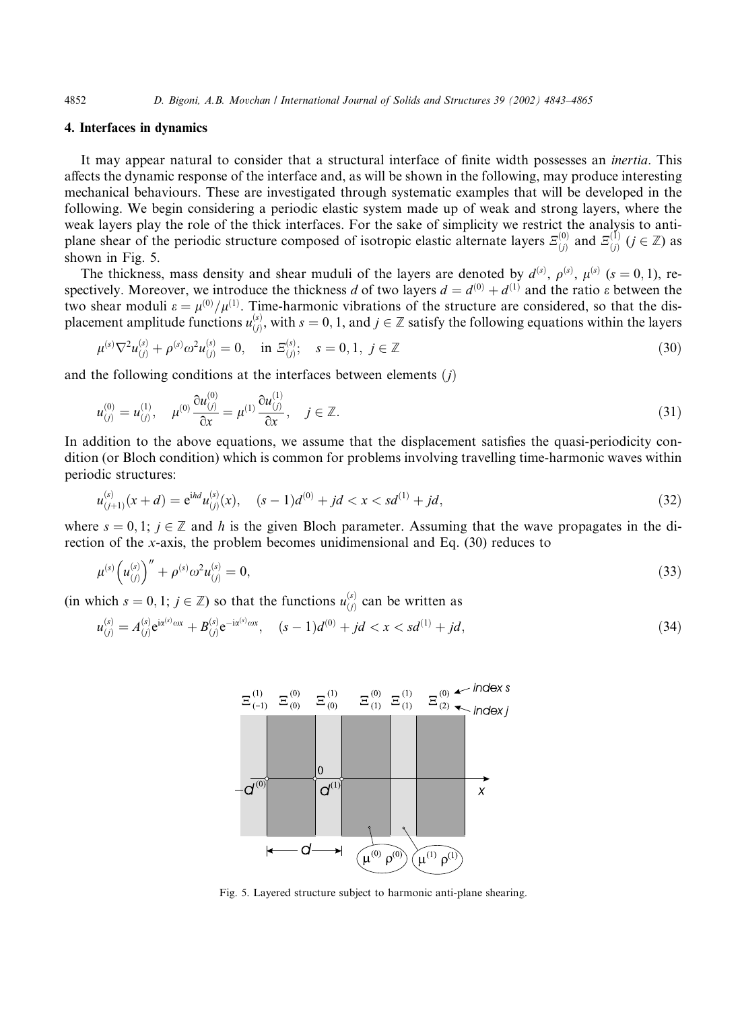## 4. Interfaces in dynamics

It may appear natural to consider that a structural interface of finite width possesses an inertia. This affects the dynamic response of the interface and, as will be shown in the following, may produce interesting mechanical behaviours. These are investigated through systematic examples that will be developed in the following. We begin considering a periodic elastic system made up of weak and strong layers, where the weak layers play the role of the thick interfaces. For the sake of simplicity we restrict the analysis to antiplane shear of the periodic structure composed of isotropic elastic alternate layers  $\mathcal{E}_{(j)}^{(0)}$  and  $\mathcal{E}_{(j)}^{(1)}$  ( $j \in \mathbb{Z}$ ) as shown in Fig. 5.

The thickness, mass density and shear muduli of the layers are denoted by  $d^{(s)}$ ,  $\rho^{(s)}$ ,  $\mu^{(s)}$  (s = 0, 1), respectively. Moreover, we introduce the thickness d of two layers  $d = d^{(0)} + d^{(1)}$  and the ratio  $\varepsilon$  between the two shear moduli  $\varepsilon = \mu^{(0)}/\mu^{(1)}$ . Time-harmonic vibrations of the structure are considered, so that the displacement amplitude functions  $u_{(i)}^{(s)}$  $\phi_{(j)}^{(s)}$ , with  $s = 0, 1$ , and  $j \in \mathbb{Z}$  satisfy the following equations within the layers

$$
\mu^{(s)} \nabla^2 u_{(j)}^{(s)} + \rho^{(s)} \omega^2 u_{(j)}^{(s)} = 0, \quad \text{in } \mathbb{E}_{(j)}^{(s)}; \quad s = 0, 1, \ j \in \mathbb{Z}
$$
\n
$$
(30)
$$

and the following conditions at the interfaces between elements  $(j)$ 

 $\overline{a}$ 

$$
u_{(j)}^{(0)} = u_{(j)}^{(1)}, \quad \mu^{(0)} \frac{\partial u_{(j)}^{(0)}}{\partial x} = \mu^{(1)} \frac{\partial u_{(j)}^{(1)}}{\partial x}, \quad j \in \mathbb{Z}.
$$
\n(31)

In addition to the above equations, we assume that the displacement satisfies the quasi-periodicity condition (or Bloch condition) which is common for problems involving travelling time-harmonic waves within periodic structures:

$$
u_{(j+1)}^{(s)}(x+d) = e^{ihd}u_{(j)}^{(s)}(x), \quad (s-1)d^{(0)} + jd < x < sd^{(1)} + jd,
$$
\n(32)

where  $s = 0, 1$ ;  $j \in \mathbb{Z}$  and h is the given Bloch parameter. Assuming that the wave propagates in the direction of the x-axis, the problem becomes unidimensional and Eq. (30) reduces to

$$
\mu^{(s)}\left(u_{(j)}^{(s)}\right)'' + \rho^{(s)}\omega^2 u_{(j)}^{(s)} = 0,
$$
\n(33)

(in which  $s = 0, 1; j \in \mathbb{Z}$ ) so that the functions  $u_{(j)}^{(s)}$  can be written as

$$
u_{(j)}^{(s)} = A_{(j)}^{(s)} e^{i\alpha^{(s)} \omega x} + B_{(j)}^{(s)} e^{-i\alpha^{(s)} \omega x}, \quad (s-1)d^{(0)} + jd < x < sd^{(1)} + jd,\tag{34}
$$



Fig. 5. Layered structure subject to harmonic anti-plane shearing.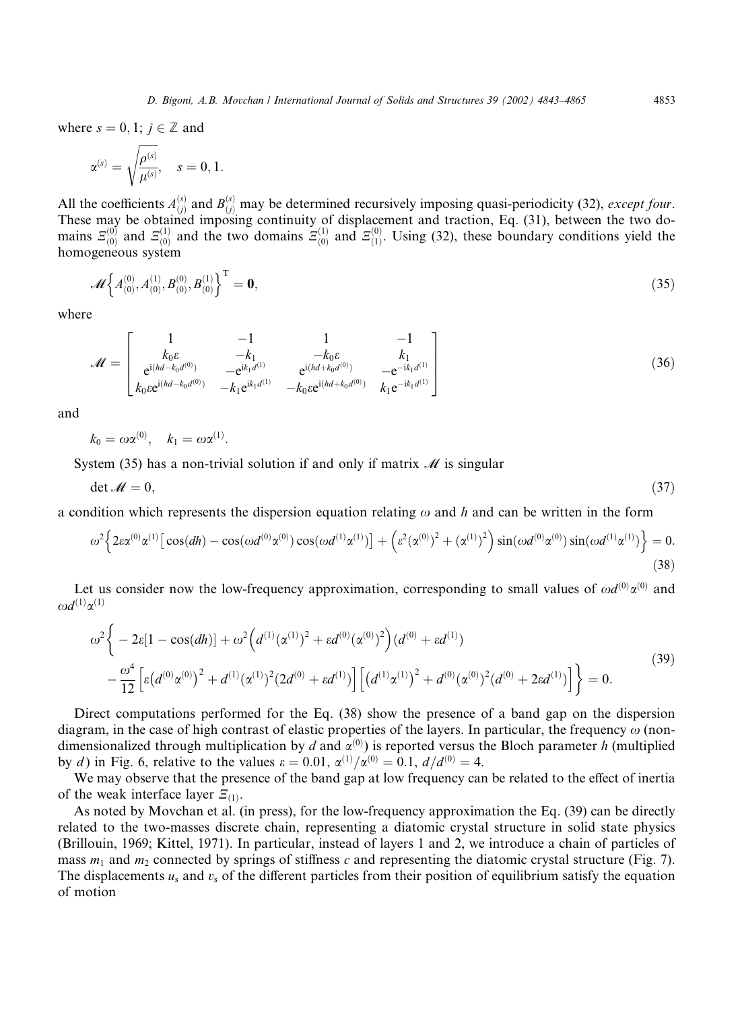where  $s = 0, 1$ ;  $j \in \mathbb{Z}$  and

$$
\alpha^{(s)}=\sqrt{\frac{\rho^{(s)}}{\mu^{(s)}}},\quad s=0,1.
$$

All the coefficients  $A_{(j)}^{(s)}$  and  $B_{(j)}^{(s)}$  may be determined recursively imposing quasi-periodicity (32), except four. These may be obtained imposing continuity of displacement and traction, Eq. (31), between the two domains  $E_{(0)}^{(0)}$  and  $E_{(0)}^{(1)}$  and the two domains  $E_{(0)}^{(1)}$  and  $E_{(1)}^{(0)}$ . Using (32), these boundary conditions yield the homogeneous system

$$
\mathcal{M}\left\{A_{(0)}^{(0)},A_{(0)}^{(1)},B_{(0)}^{(0)},B_{(0)}^{(1)}\right\}^{\mathrm{T}}=\mathbf{0},\tag{35}
$$

where

$$
\mathcal{M} = \begin{bmatrix} 1 & -1 & 1 & -1 \\ k_0 \varepsilon & -k_1 & -k_0 \varepsilon & k_1 \\ e^{i(hd - k_0 d^{(0)})} & -e^{ik_1 d^{(1)}} & e^{i(hd + k_0 d^{(0)})} & -e^{-ik_1 d^{(1)}} \\ k_0 \varepsilon e^{i(hd - k_0 d^{(0)})} & -k_1 e^{ik_1 d^{(1)}} & -k_0 \varepsilon e^{i(hd + k_0 d^{(0)})} & k_1 e^{-ik_1 d^{(1)}} \end{bmatrix}
$$
(36)

and

$$
k_0 = \omega \alpha^{(0)}, \quad k_1 = \omega \alpha^{(1)}.
$$

System (35) has a non-trivial solution if and only if matrix  $\mathcal M$  is singular

$$
\det \mathcal{M} = 0,\tag{37}
$$

a condition which represents the dispersion equation relating  $\omega$  and h and can be written in the form

$$
\omega^2 \left\{ 2\varepsilon \alpha^{(0)} \alpha^{(1)} \left[ \cos(dh) - \cos(\omega d^{(0)} \alpha^{(0)}) \cos(\omega d^{(1)} \alpha^{(1)}) \right] + \left( \varepsilon^2 (\alpha^{(0)})^2 + (\alpha^{(1)})^2 \right) \sin(\omega d^{(0)} \alpha^{(0)}) \sin(\omega d^{(1)} \alpha^{(1)}) \right\} = 0. \tag{38}
$$

Let us consider now the low-frequency approximation, corresponding to small values of  $\omega d^{(0)} \alpha^{(0)}$  and  $\omega d^{(1)}\alpha^{(1)}$ 

$$
\omega^2 \bigg\{ -2\varepsilon [1 - \cos(dh)] + \omega^2 \Big( d^{(1)} (\alpha^{(1)})^2 + \varepsilon d^{(0)} (\alpha^{(0)})^2 \Big) (d^{(0)} + \varepsilon d^{(1)}) - \frac{\omega^4}{12} \Big[ \varepsilon (d^{(0)} \alpha^{(0)})^2 + d^{(1)} (\alpha^{(1)})^2 (2d^{(0)} + \varepsilon d^{(1)}) \Big] \Big[ \big(d^{(1)} \alpha^{(1)}\big)^2 + d^{(0)} (\alpha^{(0)})^2 (d^{(0)} + 2\varepsilon d^{(1)}) \Big] \bigg\} = 0.
$$
\n(39)

Direct computations performed for the Eq. (38) show the presence of a band gap on the dispersion diagram, in the case of high contrast of elastic properties of the layers. In particular, the frequency  $\omega$  (nondimensionalized through multiplication by d and  $\alpha^{(0)}$ ) is reported versus the Bloch parameter h (multiplied by *d*) in Fig. 6, relative to the values  $\varepsilon = 0.01$ ,  $\alpha^{(1)}/\alpha^{(0)} = 0.1$ ,  $d/d^{(0)} = 4$ .

We may observe that the presence of the band gap at low frequency can be related to the effect of inertia of the weak interface layer  $E_{(1)}$ .

As noted by Movchan et al. (in press), for the low-frequency approximation the Eq. (39) can be directly related to the two-masses discrete chain, representing a diatomic crystal structure in solid state physics (Brillouin, 1969;Kittel, 1971). In particular, instead of layers 1 and 2, we introduce a chain of particles of mass  $m_1$  and  $m_2$  connected by springs of stiffness c and representing the diatomic crystal structure (Fig. 7). The displacements  $u_s$  and  $v_s$  of the different particles from their position of equilibrium satisfy the equation of motion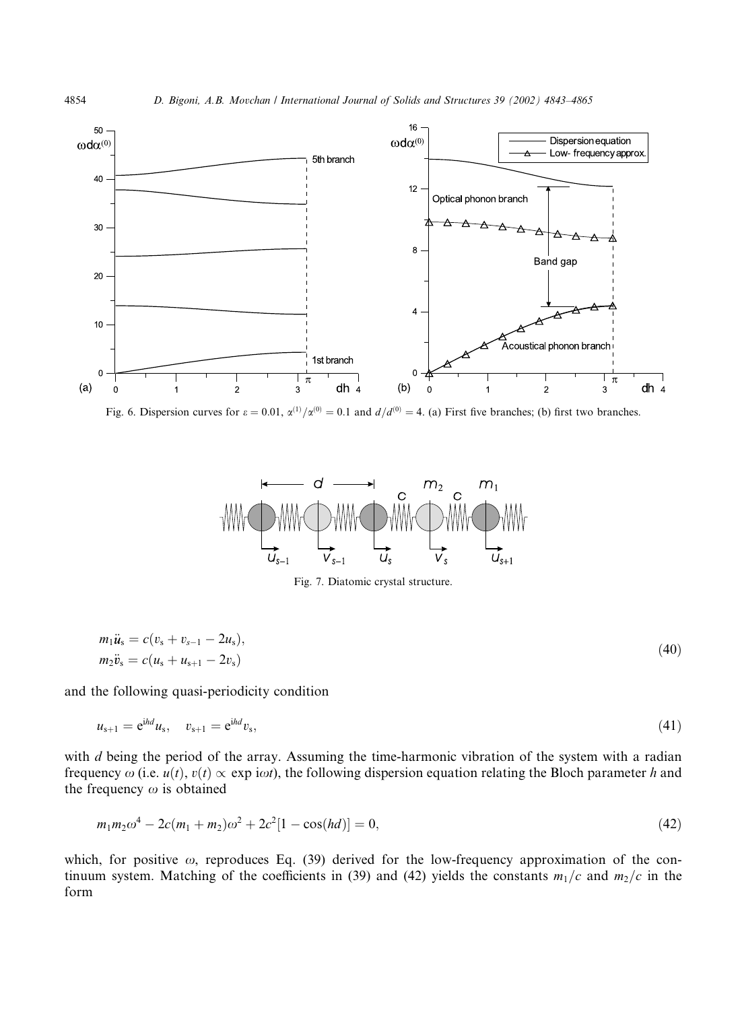

Fig. 6. Dispersion curves for  $\varepsilon = 0.01$ ,  $\alpha^{(1)}/\alpha^{(0)} = 0.1$  and  $d/d^{(0)} = 4$ . (a) First five branches; (b) first two branches.



Fig. 7. Diatomic crystal structure.

$$
m_1 \ddot{u}_s = c(v_s + v_{s-1} - 2u_s),
$$
  
\n
$$
m_2 \ddot{v}_s = c(u_s + u_{s+1} - 2v_s)
$$
\n(40)

and the following quasi-periodicity condition

$$
u_{s+1} = e^{i h d} u_s, \quad v_{s+1} = e^{i h d} v_s,
$$
\n(41)

with d being the period of the array. Assuming the time-harmonic vibration of the system with a radian frequency  $\omega$  (i.e.  $u(t)$ ,  $v(t) \propto$  exp i $\omega t$ ), the following dispersion equation relating the Bloch parameter h and the frequency  $\omega$  is obtained

$$
m_1 m_2 \omega^4 - 2c(m_1 + m_2)\omega^2 + 2c^2[1 - \cos(hd)] = 0,\tag{42}
$$

which, for positive  $\omega$ , reproduces Eq. (39) derived for the low-frequency approximation of the continuum system. Matching of the coefficients in (39) and (42) yields the constants  $m_1/c$  and  $m_2/c$  in the form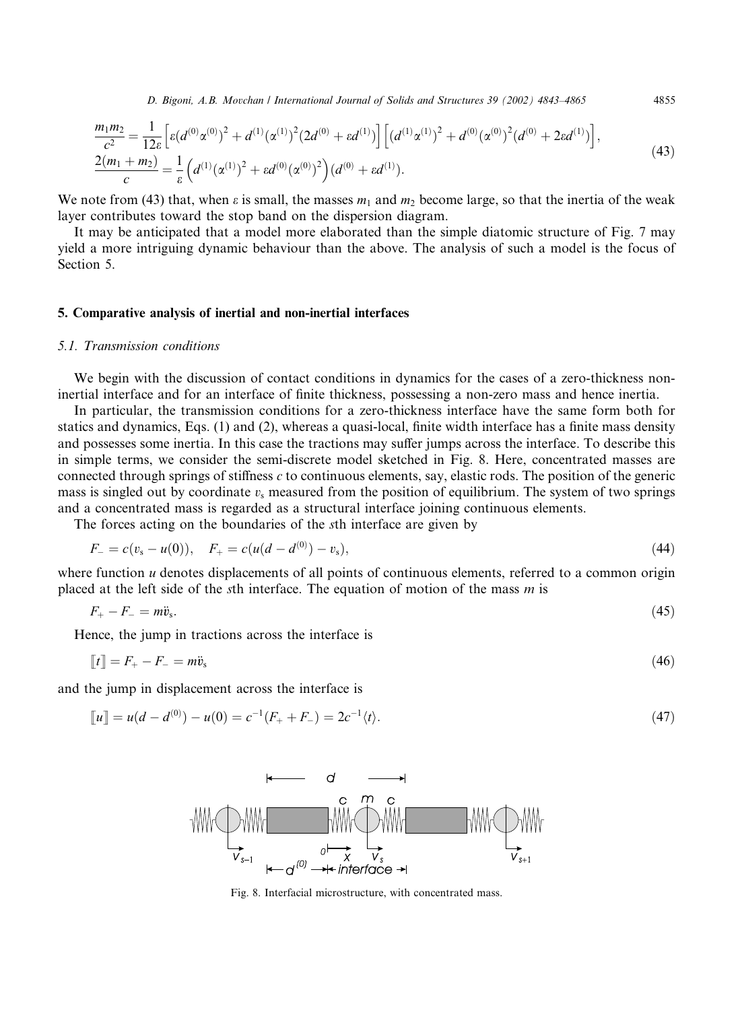D. Bigoni, A.B. Movchan / International Journal of Solids and Structures 39 (2002) 4843–4865 4855

$$
\frac{m_1m_2}{c^2} = \frac{1}{12\varepsilon} \left[ \varepsilon (d^{(0)} \alpha^{(0)})^2 + d^{(1)} (\alpha^{(1)})^2 (2d^{(0)} + \varepsilon d^{(1)}) \right] \left[ (d^{(1)} \alpha^{(1)})^2 + d^{(0)} (\alpha^{(0)})^2 (d^{(0)} + 2\varepsilon d^{(1)}) \right],
$$
\n
$$
\frac{2(m_1 + m_2)}{c} = \frac{1}{\varepsilon} \left( d^{(1)} (\alpha^{(1)})^2 + \varepsilon d^{(0)} (\alpha^{(0)})^2 \right) (d^{(0)} + \varepsilon d^{(1)}).
$$
\n(43)

We note from (43) that, when  $\varepsilon$  is small, the masses  $m_1$  and  $m_2$  become large, so that the inertia of the weak layer contributes toward the stop band on the dispersion diagram.

It may be anticipated that a model more elaborated than the simple diatomic structure of Fig. 7 may yield a more intriguing dynamic behaviour than the above. The analysis of such a model is the focus of Section 5.

### 5. Comparative analysis of inertial and non-inertial interfaces

#### 5.1. Transmission conditions

We begin with the discussion of contact conditions in dynamics for the cases of a zero-thickness noninertial interface and for an interface of finite thickness, possessing a non-zero mass and hence inertia.

In particular, the transmission conditions for a zero-thickness interface have the same form both for statics and dynamics, Eqs. (1) and (2), whereas a quasi-local, finite width interface has a finite mass density and possesses some inertia. In this case the tractions may suffer jumps across the interface. To describe this in simple terms, we consider the semi-discrete model sketched in Fig. 8. Here, concentrated masses are connected through springs of stiffness c to continuous elements, say, elastic rods. The position of the generic mass is singled out by coordinate  $v_s$  measured from the position of equilibrium. The system of two springs and a concentrated mass is regarded as a structural interface joining continuous elements.

The forces acting on the boundaries of the sth interface are given by

$$
F_{-} = c(v_{s} - u(0)), \quad F_{+} = c(u(d - d^{(0)}) - v_{s}), \tag{44}
$$

where function *u* denotes displacements of all points of continuous elements, referred to a common origin placed at the left side of the sth interface. The equation of motion of the mass  $m$  is

$$
F_+ - F_- = m\ddot{v}_s. \tag{45}
$$

Hence, the jump in tractions across the interface is

$$
\llbracket t \rrbracket = F_+ - F_- = m\ddot{v}_s \tag{46}
$$

and the jump in displacement across the interface is

$$
\llbracket u \rrbracket = u(d - d^{(0)}) - u(0) = c^{-1}(F_+ + F_-) = 2c^{-1} \langle t \rangle.
$$
\n(47)



Fig. 8. Interfacial microstructure, with concentrated mass.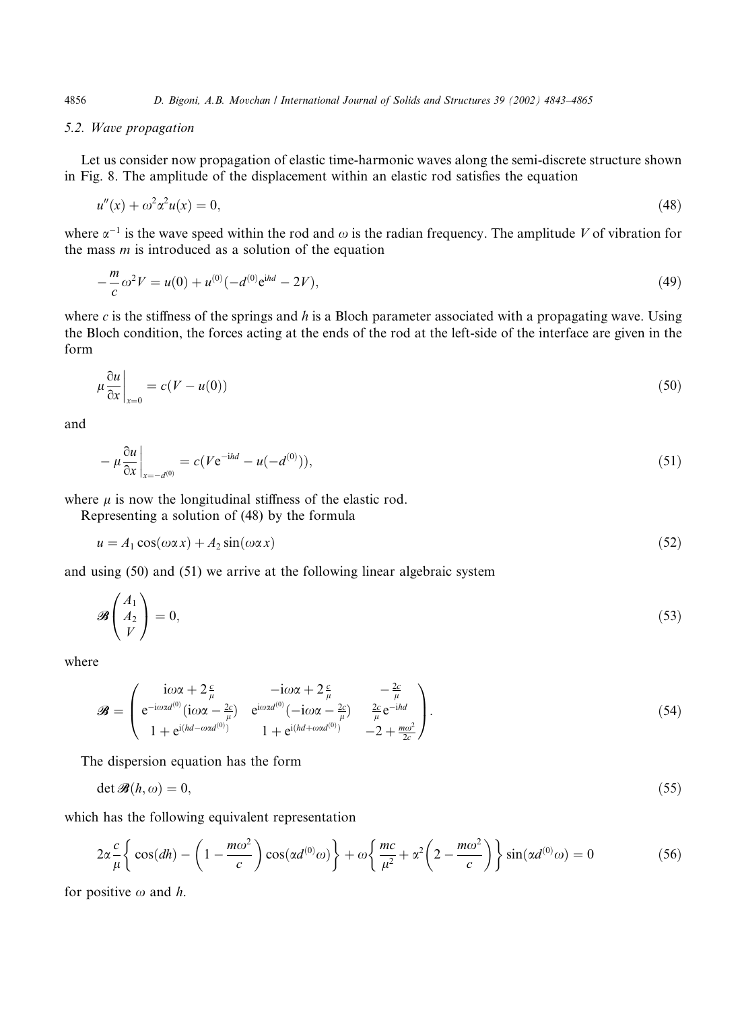# 5.2. Wave propagation

Let us consider now propagation of elastic time-harmonic waves along the semi-discrete structure shown in Fig. 8. The amplitude of the displacement within an elastic rod satisfies the equation

$$
u''(x) + \omega^2 \alpha^2 u(x) = 0,\tag{48}
$$

where  $\alpha^{-1}$  is the wave speed within the rod and  $\omega$  is the radian frequency. The amplitude V of vibration for the mass  $m$  is introduced as a solution of the equation

$$
-\frac{m}{c}\omega^2 V = u(0) + u^{(0)}(-d^{(0)}e^{ihd} - 2V),\tag{49}
$$

where c is the stiffness of the springs and h is a Bloch parameter associated with a propagating wave. Using the Bloch condition, the forces acting at the ends of the rod at the left-side of the interface are given in the form

$$
\mu \frac{\partial u}{\partial x}\Big|_{x=0} = c(V - u(0))\tag{50}
$$

and

$$
-\mu \frac{\partial u}{\partial x}\Big|_{x=-d^{(0)}} = c(Ve^{-ihd} - u(-d^{(0)})),\tag{51}
$$

where  $\mu$  is now the longitudinal stiffness of the elastic rod.

Representing a solution of (48) by the formula

$$
u = A_1 \cos(\omega \alpha x) + A_2 \sin(\omega \alpha x) \tag{52}
$$

and using (50) and (51) we arrive at the following linear algebraic system

$$
\mathcal{B}\left(\begin{array}{c} A_1\\ A_2\\ V\end{array}\right)=0,\tag{53}
$$

where

$$
\mathcal{B} = \begin{pmatrix} i\omega\alpha + 2\frac{c}{\mu} & -i\omega\alpha + 2\frac{c}{\mu} & -\frac{2c}{\mu} \\ e^{-i\omega\alpha d^{(0)}}(i\omega\alpha - \frac{2c}{\mu}) & e^{i\omega\alpha d^{(0)}}(-i\omega\alpha - \frac{2c}{\mu}) & \frac{2c}{\mu}e^{-i\alpha d} \\ 1 + e^{i(hd - \omega\alpha d^{(0)})} & 1 + e^{i(hd + \omega\alpha d^{(0)})} & -2 + \frac{m\omega^2}{2c} \end{pmatrix}.
$$
 (54)

The dispersion equation has the form

$$
\det \mathcal{B}(h,\omega) = 0,\tag{55}
$$

which has the following equivalent representation

$$
2\alpha \frac{c}{\mu} \left\{ \cos(dh) - \left(1 - \frac{m\omega^2}{c}\right) \cos(\alpha d^{(0)}\omega) \right\} + \omega \left\{ \frac{mc}{\mu^2} + \alpha^2 \left(2 - \frac{m\omega^2}{c}\right) \right\} \sin(\alpha d^{(0)}\omega) = 0 \tag{56}
$$

for positive  $\omega$  and h.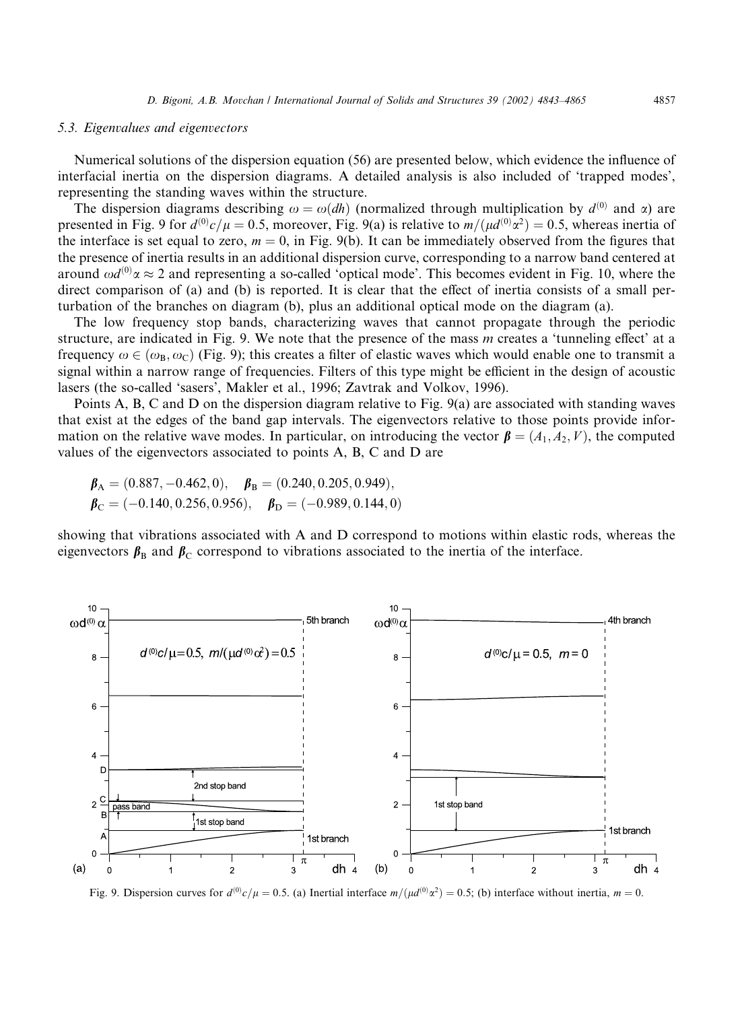## 5.3. Eigenvalues and eigenvectors

Numerical solutions of the dispersion equation (56) are presented below, which evidence the influence of interfacial inertia on the dispersion diagrams. A detailed analysis is also included of 'trapped modes', representing the standing waves within the structure.

The dispersion diagrams describing  $\omega = \omega(dh)$  (normalized through multiplication by  $d^{(0)}$  and  $\alpha$ ) are presented in Fig. 9 for  $d^{(0)}c/\mu = 0.5$ , moreover, Fig. 9(a) is relative to  $m/(\mu d^{(0)}\alpha^2) = 0.5$ , whereas inertia of the interface is set equal to zero,  $m = 0$ , in Fig. 9(b). It can be immediately observed from the figures that the presence of inertia results in an additional dispersion curve, corresponding to a narrow band centered at around  $\omega d^{(0)}\alpha \approx 2$  and representing a so-called 'optical mode'. This becomes evident in Fig. 10, where the direct comparison of (a) and (b) is reported. It is clear that the effect of inertia consists of a small perturbation of the branches on diagram (b), plus an additional optical mode on the diagram (a).

The low frequency stop bands, characterizing waves that cannot propagate through the periodic structure, are indicated in Fig. 9. We note that the presence of the mass m creates a 'tunneling effect' at a frequency  $\omega \in (\omega_{\rm B}, \omega_{\rm C})$  (Fig. 9); this creates a filter of elastic waves which would enable one to transmit a signal within a narrow range of frequencies. Filters of this type might be efficient in the design of acoustic lasers (the so-called 'sasers', Makler et al., 1996; Zavtrak and Volkov, 1996).

Points A, B, C and D on the dispersion diagram relative to Fig. 9(a) are associated with standing waves that exist at the edges of the band gap intervals. The eigenvectors relative to those points provide information on the relative wave modes. In particular, on introducing the vector  $\boldsymbol{\beta} = (A_1, A_2, V)$ , the computed values of the eigenvectors associated to points A, B, C and D are

$$
\boldsymbol{\beta}_{A} = (0.887, -0.462, 0), \quad \boldsymbol{\beta}_{B} = (0.240, 0.205, 0.949),
$$
  
\n $\boldsymbol{\beta}_{C} = (-0.140, 0.256, 0.956), \quad \boldsymbol{\beta}_{D} = (-0.989, 0.144, 0)$ 

showing that vibrations associated with A and D correspond to motions within elastic rods, whereas the eigenvectors  $\beta_B$  and  $\beta_C$  correspond to vibrations associated to the inertia of the interface.



Fig. 9. Dispersion curves for  $d^{(0)}c/\mu = 0.5$ . (a) Inertial interface  $m/(\mu d^{(0)}\alpha^2) = 0.5$ ; (b) interface without inertia,  $m = 0$ .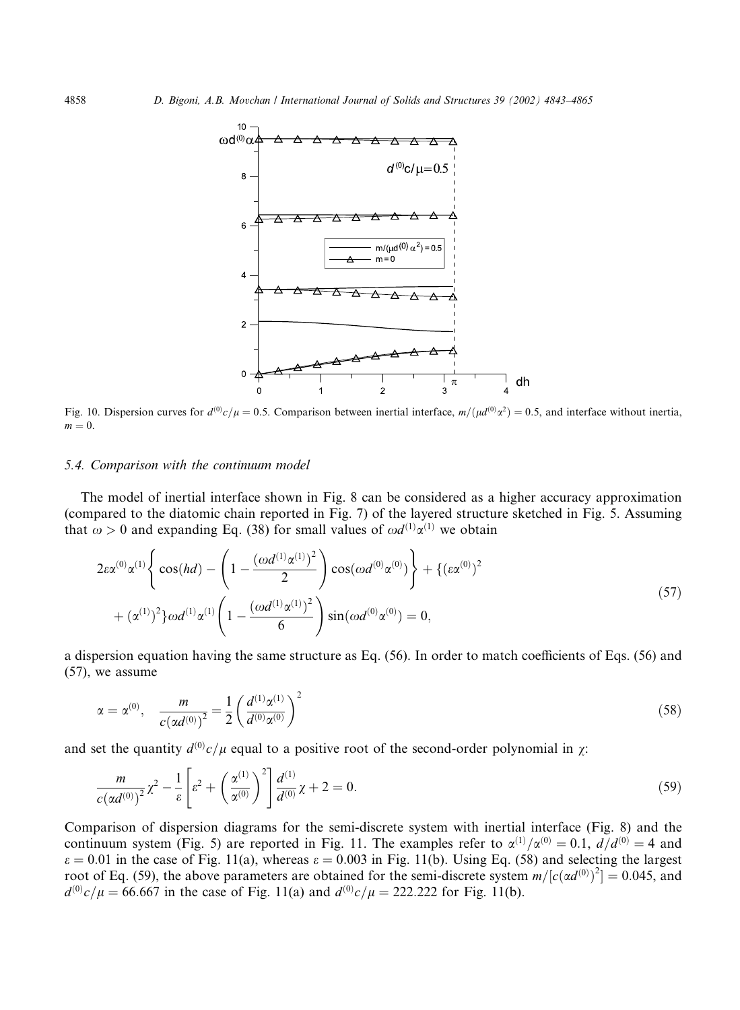

Fig. 10. Dispersion curves for  $d^{(0)}c/\mu = 0.5$ . Comparison between inertial interface,  $m/(\mu d^{(0)}\alpha^2) = 0.5$ , and interface without inertia,  $m = 0$ .

# 5.4. Comparison with the continuum model

The model of inertial interface shown in Fig. 8 can be considered as a higher accuracy approximation (compared to the diatomic chain reported in Fig. 7) of the layered structure sketched in Fig. 5. Assuming that  $\omega > 0$  and expanding Eq. (38) for small values of  $\omega d^{(1)} \alpha^{(1)}$  we obtain

$$
2\varepsilon \alpha^{(0)} \alpha^{(1)} \left\{ \cos(hd) - \left( 1 - \frac{(\omega d^{(1)} \alpha^{(1)})^2}{2} \right) \cos(\omega d^{(0)} \alpha^{(0)}) \right\} + \left\{ (\varepsilon \alpha^{(0)})^2 + (\alpha^{(1)})^2 \right\} \omega d^{(1)} \alpha^{(1)} \left( 1 - \frac{(\omega d^{(1)} \alpha^{(1)})^2}{6} \right) \sin(\omega d^{(0)} \alpha^{(0)}) = 0,
$$
\n(57)

a dispersion equation having the same structure as Eq. (56). In order to match coefficients of Eqs. (56) and (57), we assume

$$
\alpha = \alpha^{(0)}, \quad \frac{m}{c(\alpha d^{(0)})^2} = \frac{1}{2} \left( \frac{d^{(1)} \alpha^{(1)}}{d^{(0)} \alpha^{(0)}} \right)^2 \tag{58}
$$

and set the quantity  $d^{(0)}c/\mu$  equal to a positive root of the second-order polynomial in  $\chi$ :

$$
\frac{m}{c(\alpha d^{(0)})^2} \chi^2 - \frac{1}{\varepsilon} \left[ \varepsilon^2 + \left( \frac{\alpha^{(1)}}{\alpha^{(0)}} \right)^2 \right] \frac{d^{(1)}}{d^{(0)}} \chi + 2 = 0. \tag{59}
$$

Comparison of dispersion diagrams for the semi-discrete system with inertial interface (Fig. 8) and the continuum system (Fig. 5) are reported in Fig. 11. The examples refer to  $\alpha^{(1)}/\alpha^{(0)} = 0.1$ ,  $d/d^{(0)} = 4$  and  $\varepsilon = 0.01$  in the case of Fig. 11(a), whereas  $\varepsilon = 0.003$  in Fig. 11(b). Using Eq. (58) and selecting the largest root of Eq. (59), the above parameters are obtained for the semi-discrete system  $m/[c(\alpha d^{(0)})^2] = 0.045$ , and  $d^{(0)}c/\mu = 66.667$  in the case of Fig. 11(a) and  $d^{(0)}c/\mu = 222.222$  for Fig. 11(b).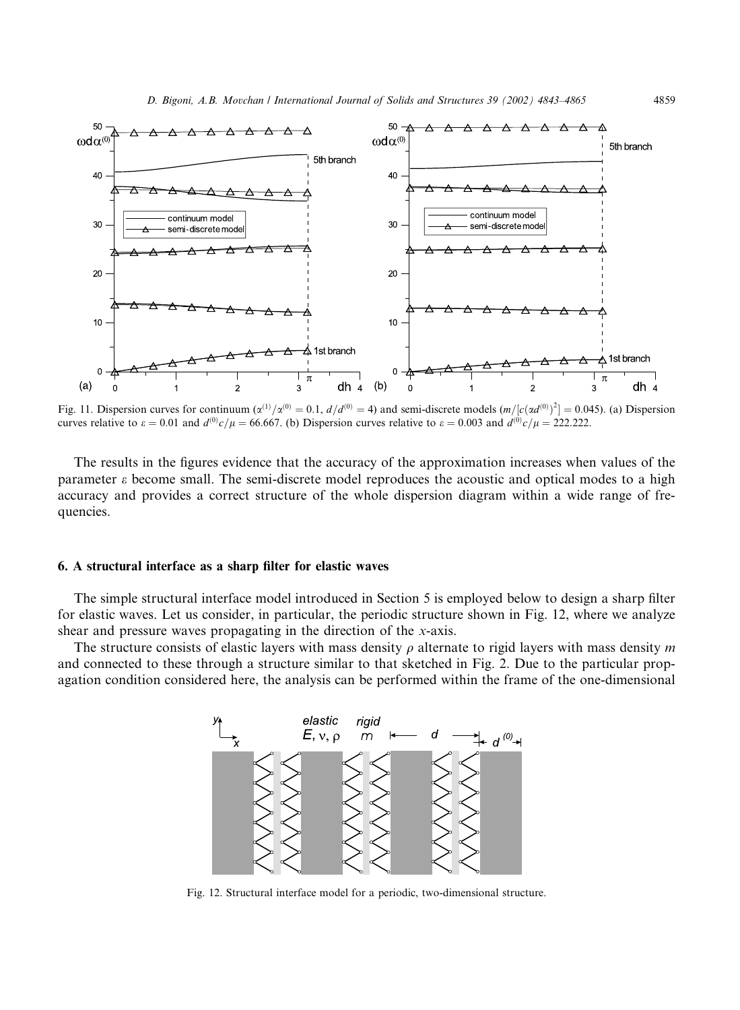

Fig. 11. Dispersion curves for continuum  $(\alpha^{(1)}/\alpha^{(0)} = 0.1$ ,  $d/d^{(0)} = 4)$  and semi-discrete models  $(m/[\alpha(\alpha^{(0)})^2] = 0.045)$ . (a) Dispersion curves relative to  $\varepsilon = 0.01$  and  $d^{(0)}c/\mu = 66.667$ . (b) Dispersion curves relative to  $\varepsilon = 0.003$  and  $d^{(0)}c/\mu = 222.222$ .

The results in the figures evidence that the accuracy of the approximation increases when values of the parameter e become small. The semi-discrete model reproduces the acoustic and optical modes to a high accuracy and provides a correct structure of the whole dispersion diagram within a wide range of frequencies.

#### 6. A structural interface as a sharp filter for elastic waves

The simple structural interface model introduced in Section 5 is employed below to design a sharp filter for elastic waves. Let us consider, in particular, the periodic structure shown in Fig. 12, where we analyze shear and pressure waves propagating in the direction of the x-axis.

The structure consists of elastic layers with mass density  $\rho$  alternate to rigid layers with mass density m and connected to these through a structure similar to that sketched in Fig. 2. Due to the particular propagation condition considered here, the analysis can be performed within the frame of the one-dimensional



Fig. 12. Structural interface model for a periodic, two-dimensional structure.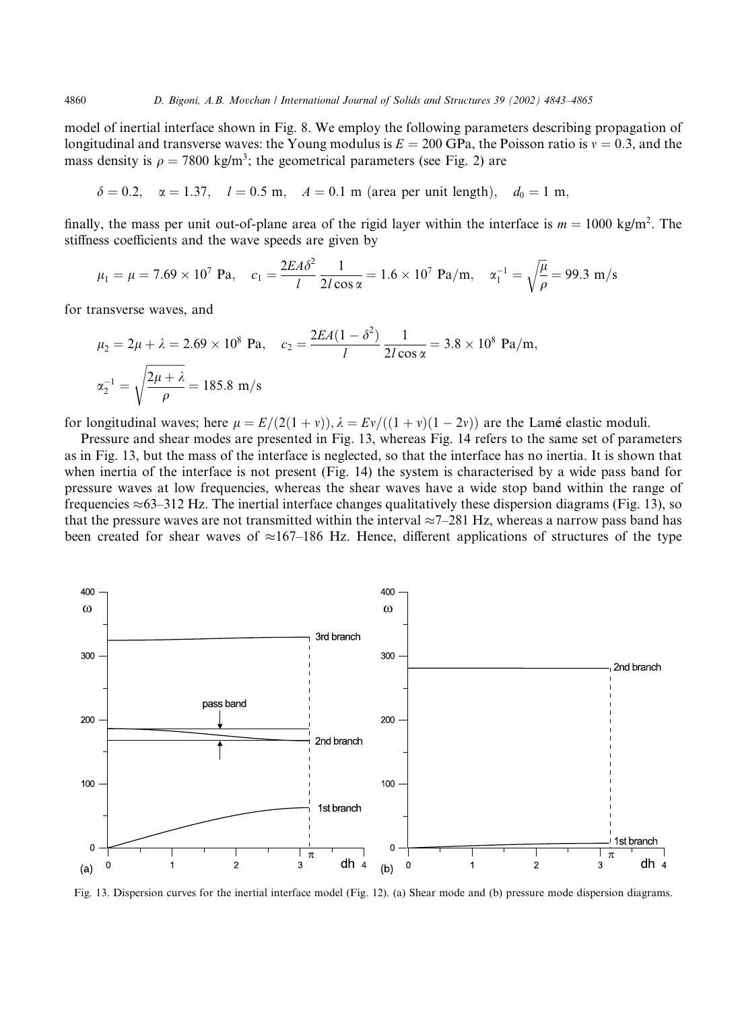model of inertial interface shown in Fig. 8. We employ the following parameters describing propagation of longitudinal and transverse waves: the Young modulus is  $E = 200$  GPa, the Poisson ratio is  $v = 0.3$ , and the mass density is  $\rho = 7800 \text{ kg/m}^3$ ; the geometrical parameters (see Fig. 2) are

 $\delta = 0.2$ ,  $\alpha = 1.37$ ,  $l = 0.5$  m,  $A = 0.1$  m (area per unit length),  $d_0 = 1$  m,

finally, the mass per unit out-of-plane area of the rigid layer within the interface is  $m = 1000$  kg/m<sup>2</sup>. The stiffness coefficients and the wave speeds are given by

$$
\mu_1 = \mu = 7.69 \times 10^7
$$
 Pa,  $c_1 = \frac{2EA\delta^2}{l} \frac{1}{2l\cos\alpha} = 1.6 \times 10^7$  Pa/m,  $\alpha_1^{-1} = \sqrt{\frac{\mu}{\rho}} = 99.3$  m/s

for transverse waves, and

$$
\mu_2 = 2\mu + \lambda = 2.69 \times 10^8 \text{ Pa}, \quad c_2 = \frac{2EA(1 - \delta^2)}{l} \frac{1}{2l\cos\alpha} = 3.8 \times 10^8 \text{ Pa/m},
$$
  

$$
\alpha_2^{-1} = \sqrt{\frac{2\mu + \lambda}{\rho}} = 185.8 \text{ m/s}
$$

for longitudinal waves; here  $\mu = E/(2(1 + v)), \lambda = Ev/((1 + v)(1 - 2v))$  are the Lamé elastic moduli.

Pressure and shear modes are presented in Fig. 13, whereas Fig. 14 refers to the same set of parameters as in Fig. 13, but the mass of the interface is neglected, so that the interface has no inertia. It is shown that when inertia of the interface is not present (Fig. 14) the system is characterised by a wide pass band for pressure waves at low frequencies, whereas the shear waves have a wide stop band within the range of frequencies  $\approx$  63–312 Hz. The inertial interface changes qualitatively these dispersion diagrams (Fig. 13), so that the pressure waves are not transmitted within the interval  $\approx$ 7–281 Hz, whereas a narrow pass band has been created for shear waves of  $\approx 167-186$  Hz. Hence, different applications of structures of the type



Fig. 13. Dispersion curves for the inertial interface model (Fig. 12). (a) Shear mode and (b) pressure mode dispersion diagrams.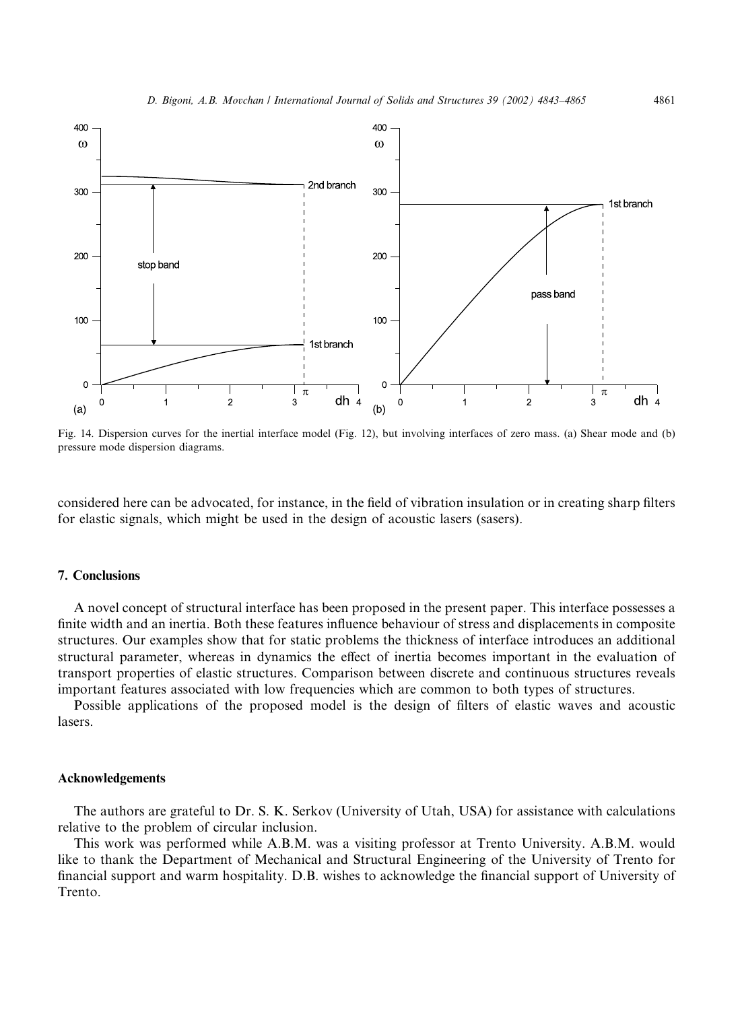

Fig. 14. Dispersion curves for the inertial interface model (Fig. 12), but involving interfaces of zero mass. (a) Shear mode and (b) pressure mode dispersion diagrams.

considered here can be advocated, for instance, in the field of vibration insulation or in creating sharp filters for elastic signals, which might be used in the design of acoustic lasers (sasers).

#### 7. Conclusions

A novel concept of structural interface has been proposed in the present paper. This interface possesses a finite width and an inertia. Both these features influence behaviour of stress and displacements in composite structures. Our examples show that for static problems the thickness of interface introduces an additional structural parameter, whereas in dynamics the effect of inertia becomes important in the evaluation of transport properties of elastic structures. Comparison between discrete and continuous structures reveals important features associated with low frequencies which are common to both types of structures.

Possible applications of the proposed model is the design of filters of elastic waves and acoustic lasers.

#### Acknowledgements

The authors are grateful to Dr. S. K. Serkov (University of Utah, USA) for assistance with calculations relative to the problem of circular inclusion.

This work was performed while A.B.M. was a visiting professor at Trento University. A.B.M. would like to thank the Department of Mechanical and Structural Engineering of the University of Trento for financial support and warm hospitality. D.B. wishes to acknowledge the financial support of University of Trento.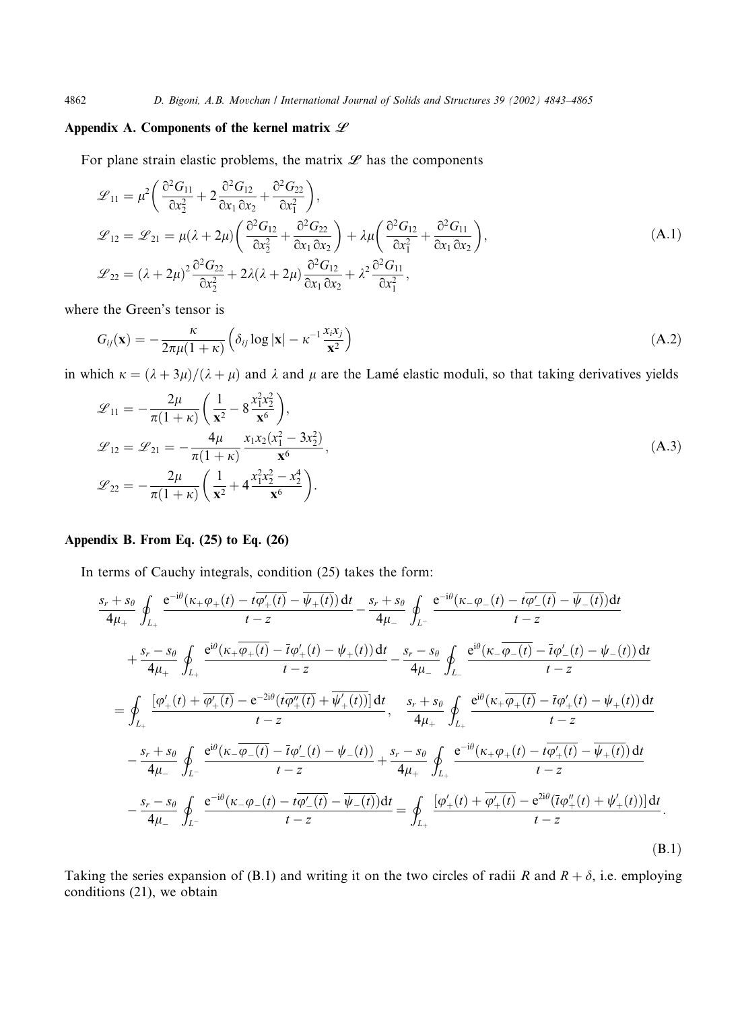# Appendix A. Components of the kernel matrix  $L$

For plane strain elastic problems, the matrix  $\mathscr L$  has the components

$$
\mathcal{L}_{11} = \mu^2 \left( \frac{\partial^2 G_{11}}{\partial x_2^2} + 2 \frac{\partial^2 G_{12}}{\partial x_1 \partial x_2} + \frac{\partial^2 G_{22}}{\partial x_1^2} \right),
$$
  
\n
$$
\mathcal{L}_{12} = \mathcal{L}_{21} = \mu (\lambda + 2\mu) \left( \frac{\partial^2 G_{12}}{\partial x_2^2} + \frac{\partial^2 G_{22}}{\partial x_1 \partial x_2} \right) + \lambda \mu \left( \frac{\partial^2 G_{12}}{\partial x_1^2} + \frac{\partial^2 G_{11}}{\partial x_1 \partial x_2} \right),
$$
  
\n
$$
\mathcal{L}_{22} = (\lambda + 2\mu)^2 \frac{\partial^2 G_{22}}{\partial x_2^2} + 2\lambda (\lambda + 2\mu) \frac{\partial^2 G_{12}}{\partial x_1 \partial x_2} + \lambda^2 \frac{\partial^2 G_{11}}{\partial x_1^2},
$$
\n(A.1)

where the Green's tensor is

$$
G_{ij}(\mathbf{x}) = -\frac{\kappa}{2\pi\mu(1+\kappa)} \left( \delta_{ij} \log |\mathbf{x}| - \kappa^{-1} \frac{x_i x_j}{\mathbf{x}^2} \right)
$$
(A.2)

in which  $\kappa = (\lambda + 3\mu)/(\lambda + \mu)$  and  $\lambda$  and  $\mu$  are the Lamé elastic moduli, so that taking derivatives yields

$$
\mathcal{L}_{11} = -\frac{2\mu}{\pi(1+\kappa)} \left( \frac{1}{\mathbf{x}^2} - 8\frac{x_1^2 x_2^2}{\mathbf{x}^6} \right), \n\mathcal{L}_{12} = \mathcal{L}_{21} = -\frac{4\mu}{\pi(1+\kappa)} \frac{x_1 x_2 (x_1^2 - 3x_2^2)}{\mathbf{x}^6}, \n\mathcal{L}_{22} = -\frac{2\mu}{\pi(1+\kappa)} \left( \frac{1}{\mathbf{x}^2} + 4\frac{x_1^2 x_2^2 - x_2^4}{\mathbf{x}^6} \right).
$$
\n(A.3)

# Appendix B. From Eq. (25) to Eq. (26)

In terms of Cauchy integrals, condition (25) takes the form:

$$
\frac{s_r + s_{\theta}}{4\mu_{+}} \oint_{L_{+}} \frac{e^{-i\theta}(\kappa_{+}\varphi_{+}(t) - i\varphi'_{+}(t)) dt}{t - z} - \frac{s_r + s_{\theta}}{4\mu_{-}} \oint_{L_{-}} \frac{e^{-i\theta}(\kappa_{-}\varphi_{-}(t) - i\varphi'_{-}(t)) dt}{t - z} + \frac{s_r - s_{\theta}}{4\mu_{+}} \oint_{L_{+}} \frac{e^{i\theta}(\kappa_{+}\overline{\varphi_{+}(t)} - i\varphi'_{+}(t)) dt}{t - z} - \frac{s_r - s_{\theta}}{4\mu_{-}} \oint_{L_{-}} \frac{e^{i\theta}(\kappa_{-}\overline{\varphi_{-}(t)} - i\varphi'_{-}(t) - \psi_{-}(t)) dt}{t - z} + \frac{s_r - s_{\theta}}{4\mu_{+}} \oint_{L_{+}} \frac{e^{i\theta}(\kappa_{-}\overline{\varphi_{-}(t)} - i\varphi'_{-}(t) - \psi_{-}(t)) dt}{t - z} + \frac{s_r + s_{\theta}}{4\mu_{+}} \oint_{L_{+}} \frac{e^{i\theta}(\kappa_{+}\overline{\varphi_{+}(t)} - i\varphi'_{+}(t) - \psi_{+}(t)) dt}{t - z} - \frac{s_r + s_{\theta}}{4\mu_{-}} \oint_{L_{-}} \frac{e^{i\theta}(\kappa_{-}\overline{\varphi_{-}(t)} - i\varphi'_{-}(t) - \psi_{-}(t))}{t - z} + \frac{s_r - s_{\theta}}{4\mu_{+}} \oint_{L_{+}} \frac{e^{-i\theta}(\kappa_{+}\varphi_{+}(t) - i\overline{\varphi'_{+}(t)} - \overline{\psi_{+}(t)}) dt}{t - z} - \frac{s_r - s_{\theta}}{4\mu_{-}} \oint_{L_{-}} \frac{e^{-i\theta}(\kappa_{-}\varphi_{-}(t) - i\overline{\varphi'_{-}(t)} - \overline{\psi_{-}(t)}) dt}{t - z} = \oint_{L_{+}} \frac{[\varphi'_{+}(t) + \overline{\varphi'_{+}(t)} - e^{2i\theta}(\overline{t}\varphi''_{+}(t) + \psi'_{+}(t))] dt}{t - z}.
$$
\n(B.1)

Taking the series expansion of (B.1) and writing it on the two circles of radii R and  $R + \delta$ , i.e. employing conditions (21), we obtain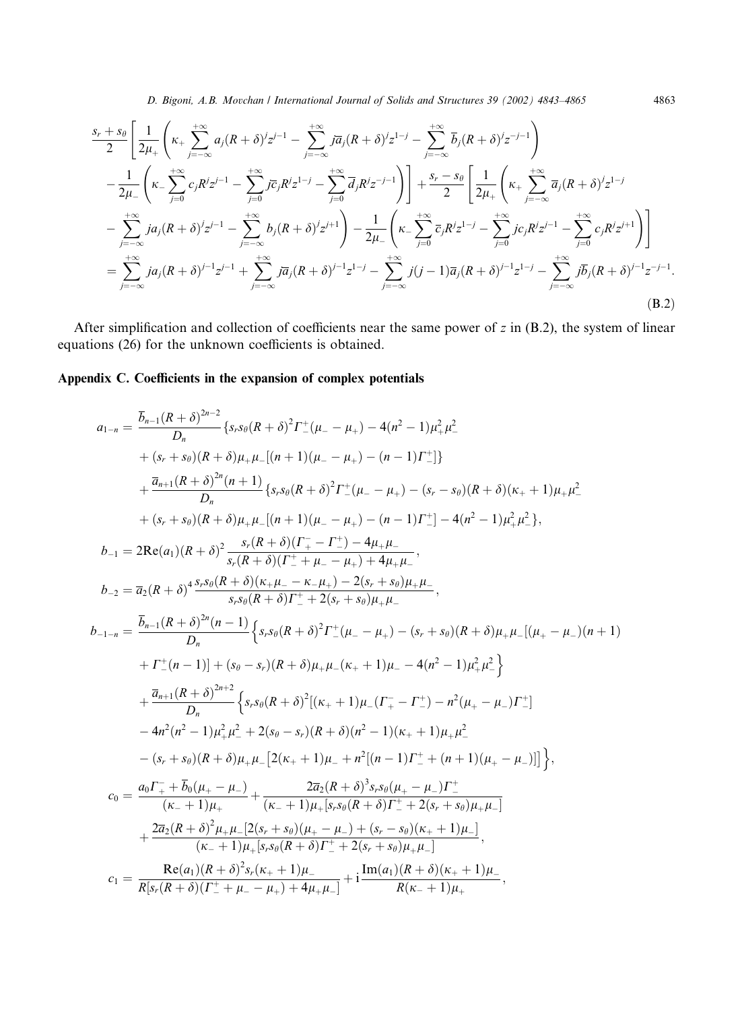D. Bigoni, A.B. Movchan / International Journal of Solids and Structures 39 (2002) 4843–4865 4863

$$
\frac{s_r + s_\theta}{2} \left[ \frac{1}{2\mu_+} \left( \kappa_+ \sum_{j=-\infty}^{+\infty} a_j (R+\delta)^j z^{j-1} - \sum_{j=-\infty}^{+\infty} j \overline{a}_j (R+\delta)^j z^{1-j} - \sum_{j=-\infty}^{+\infty} \overline{b}_j (R+\delta)^j z^{-j-1} \right) \right] \n- \frac{1}{2\mu_-} \left( \kappa_- \sum_{j=0}^{+\infty} c_j R^j z^{j-1} - \sum_{j=0}^{+\infty} j \overline{c}_j R^j z^{1-j} - \sum_{j=0}^{+\infty} \overline{d}_j R^j z^{-j-1} \right) + \frac{s_r - s_\theta}{2} \left[ \frac{1}{2\mu_+} \left( \kappa_+ \sum_{j=-\infty}^{+\infty} \overline{a}_j (R+\delta)^j z^{1-j} - \sum_{j=-\infty}^{+\infty} j a_j (R+\delta)^j z^{j-1} - \sum_{j=-\infty}^{+\infty} b_j (R+\delta)^j z^{j+1} \right) - \frac{1}{2\mu_-} \left( \kappa_- \sum_{j=0}^{+\infty} \overline{c}_j R^j z^{1-j} - \sum_{j=0}^{+\infty} j c_j R^j z^{j-1} - \sum_{j=0}^{+\infty} c_j R^j z^{j+1} \right) \right]
$$
\n
$$
= \sum_{j=-\infty}^{+\infty} j a_j (R+\delta)^{j-1} z^{j-1} + \sum_{j=-\infty}^{+\infty} j \overline{a}_j (R+\delta)^{j-1} z^{1-j} - \sum_{j=-\infty}^{+\infty} j (j-1) \overline{a}_j (R+\delta)^{j-1} z^{1-j} - \sum_{j=-\infty}^{+\infty} j \overline{b}_j (R+\delta)^{j-1} z^{-j-1}.
$$
\n(B.2)

After simplification and collection of coefficients near the same power of  $z$  in (B.2), the system of linear equations (26) for the unknown coefficients is obtained.

# Appendix C. Coefficients in the expansion of complex potentials

$$
a_{1-n} = \frac{\overline{b}_{n-1}(R+\delta)^{2n-2}}{D_n} \left\{ s_r s_\theta (R+\delta)^2 \Gamma^+_{-}(\mu_- - \mu_+) - 4(n^2 - 1)\mu_+^2 \mu_-^2 \right.+ (s_r + s_\theta)(R+\delta) \mu_+ \mu_-[(n+1)(\mu_- - \mu_+) - (n-1)\Gamma^+_{-}] \right\}+ \frac{\overline{a}_{n+1}(R+\delta)^{2n}(n+1)}{D_n} \left\{ s_r s_\theta (R+\delta)^2 \Gamma^+_{-}(\mu_- - \mu_+) - (s_r - s_\theta)(R+\delta)(\kappa_+ + 1)\mu_+ \mu_-^2 \right.+ (s_r + s_\theta)(R+\delta) \mu_+ \mu_-[(n+1)(\mu_- - \mu_+) - (n-1)\Gamma^+_{-}] - 4(n^2 - 1)\mu_+^2 \mu_-^2 \right\},b_{-1} = 2\text{Re}(a_1)(R+\delta)^2 \frac{s_r (R+\delta)(\Gamma^-_{+} - \Gamma^+_{-}) - 4\mu_+ \mu_-}{s_r (R+\delta)(\Gamma^+_{+} + \mu_- - \mu_+) + 4\mu_+ \mu_-},b_{-2} = \overline{a}_2(R+\delta)^4 \frac{s_r s_\theta (R+\delta)(\kappa_+ \mu_- - \kappa_+ \mu_+) - 2(s_r + s_\theta)\mu_+ \mu_-}{s_r s_\theta (R+\delta)^2 \Gamma^+_{-}(\mu_- - \mu_+) - (s_r + s_\theta)(R+\delta)\mu_+ \mu_-[(\mu_+ - \mu_-)(n+1) + \Gamma^+_{-}(n-1)] + (s_\theta - s_r)(R+\delta)\mu_+ \mu_- (\kappa_+ + 1)\mu_- - 4(n^2 - 1)\mu_+^2 \mu_-^2 \right\} + \frac{\overline{a}_{n+1}(R+\delta)^{2n+2}}{D_n} \left\{ s_r s_\theta (R+\delta)^2 [\kappa_+ + 1)\mu_- (\Gamma^-_{+} - \Gamma^+_{-}) - n^2(\mu_+ - \mu_-) \Gamma^+_{-} \right\} - 4n^2(n^2 - 1)\mu_+^2 \mu_-^2 + 2(s_\theta - s_r)(R+\delta)(n^2 - 1)(\kappa_+ + 1)\mu_+ \mu_-^2 - (s_r + s_\theta)(R+\delta)\mu_+ \mu_-
$$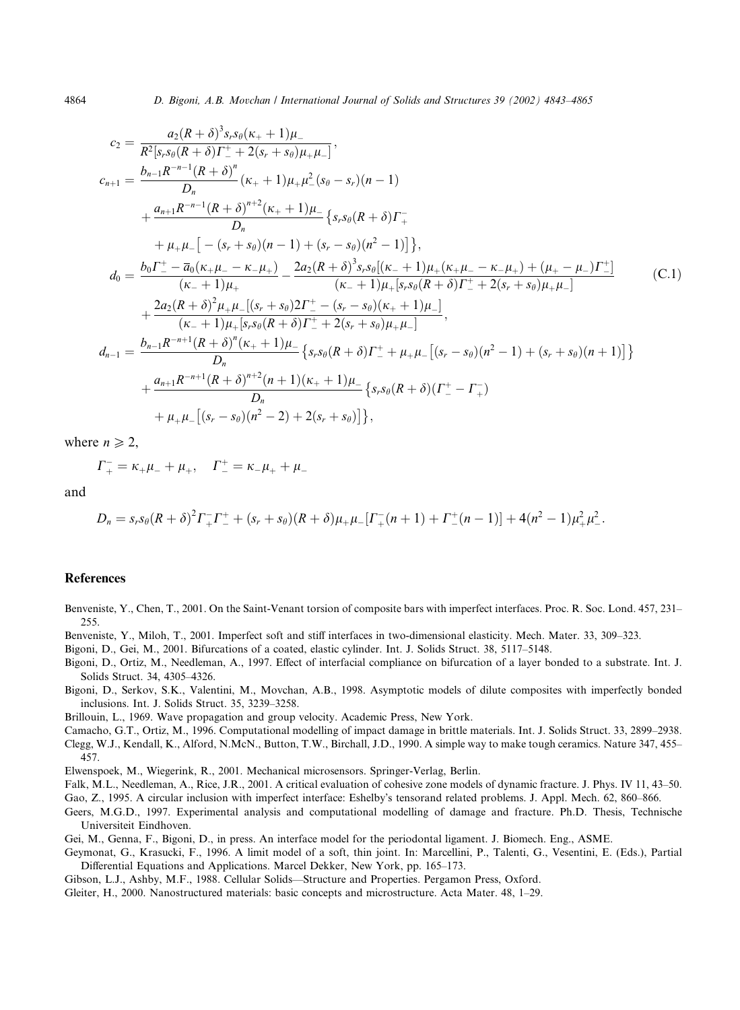$$
c_{2} = \frac{a_{2}(R+\delta)^{3}s_{s}s_{\theta}(\kappa_{+}+1)\mu_{-}}{R^{2}[s_{r}s_{\theta}(R+\delta)\Gamma_{-}^{+}+2(s_{r}+s_{\theta})\mu_{+}\mu_{-}]},
$$
  
\n
$$
c_{n+1} = \frac{b_{n-1}R^{-n-1}(R+\delta)^{n}}{D_{n}}(\kappa_{+}+1)\mu_{+}\mu_{-}^{2}(s_{\theta}-s_{r})(n-1)
$$
  
\n
$$
+\frac{a_{n+1}R^{-n-1}(R+\delta)^{n+2}(\kappa_{+}+1)\mu_{-}}{D_{n}}\left\{s_{r}s_{\theta}(R+\delta)\Gamma_{+}^{-}
$$
  
\n
$$
+\mu_{+}\mu_{-}\left[-(s_{r}+s_{\theta})(n-1)+(s_{r}-s_{\theta})(n^{2}-1)\right]\right\},
$$
  
\n
$$
d_{0} = \frac{b_{0}\Gamma_{-}^{+}-\overline{a}_{0}(\kappa_{+}\mu_{-}-\kappa_{-}\mu_{+})}{(\kappa_{-}+1)\mu_{+}} - \frac{2a_{2}(R+\delta)^{3}s_{r}s_{\theta}[(\kappa_{-}+1)\mu_{+}(\kappa_{+}\mu_{-}-\kappa_{-}\mu_{+})+(\mu_{+}-\mu_{-})\Gamma_{-}^{+}]}{(\kappa_{-}+1)\mu_{+}[s_{r}s_{\theta}(R+\delta)\Gamma_{-}^{+}+2(s_{r}+s_{\theta})\mu_{+}\mu_{-}]},
$$
  
\n
$$
d_{n-1} = \frac{b_{n-1}R^{-n+1}(R+\delta)^{n}(\kappa_{+}+1)\mu_{-}}{D_{n}}\left\{s_{r}s_{\theta}(R+\delta)\Gamma_{-}^{+}+\mu_{+}\mu_{-}[(s_{r}-s_{\theta})(n^{2}-1)+(s_{r}+s_{\theta})(n+1)]\right\}
$$
  
\n
$$
+ \frac{a_{n+1}R^{-n+1}(R+\delta)^{n+2}(n+1)(\kappa_{+}+1)\mu_{-}}{D_{n}}\left\{s_{r}s_{\theta}(R+\delta)(\Gamma_{-}^{+}-\Gamma_{+}^{-})\right\}
$$
  
\n
$$
+ \mu_{+}\mu_{-}[(s_{r}-s_{\theta})(n^{2}-2)+2(s_{r
$$

where  $n \geq 2$ ,

$$
\Gamma_{+}^{-} = \kappa_{+} \mu_{-} + \mu_{+}, \quad \Gamma_{-}^{+} = \kappa_{-} \mu_{+} + \mu_{-}
$$

and

$$
D_n = s_r s_\theta (R+\delta)^2 \Gamma_+^{\dagger} \Gamma_-^{\dagger} + (s_r+s_\theta)(R+\delta) \mu_+ \mu_-^{\dagger} \Gamma_+^{\dagger} (n+1) + \Gamma_-^{\dagger} (n-1)] + 4(n^2-1) \mu_+^2 \mu_-^2.
$$

#### References

Benveniste, Y., Chen, T., 2001. On the Saint-Venant torsion of composite bars with imperfect interfaces. Proc. R. Soc. Lond. 457, 231– 255.

Benveniste, Y., Miloh, T., 2001. Imperfect soft and stiff interfaces in two-dimensional elasticity. Mech. Mater. 33, 309–323.

Bigoni, D., Gei, M., 2001. Bifurcations of a coated, elastic cylinder. Int. J. Solids Struct. 38, 5117–5148.

- Bigoni, D., Ortiz, M., Needleman, A., 1997. Effect of interfacial compliance on bifurcation of a layer bonded to a substrate. Int. J. Solids Struct. 34, 4305–4326.
- Bigoni, D., Serkov, S.K., Valentini, M., Movchan, A.B., 1998. Asymptotic models of dilute composites with imperfectly bonded inclusions. Int. J. Solids Struct. 35, 3239–3258.

Brillouin, L., 1969. Wave propagation and group velocity. Academic Press, New York.

- Camacho, G.T., Ortiz, M., 1996. Computational modelling of impact damage in brittle materials. Int. J. Solids Struct. 33, 2899–2938. Clegg, W.J., Kendall, K., Alford, N.McN., Button, T.W., Birchall, J.D., 1990. A simple way to make tough ceramics. Nature 347, 455– 457.
- Elwenspoek, M., Wiegerink, R., 2001. Mechanical microsensors. Springer-Verlag, Berlin.
- Falk, M.L., Needleman, A., Rice, J.R., 2001. A critical evaluation of cohesive zone models of dynamic fracture. J. Phys. IV 11, 43–50.

Gao, Z., 1995. A circular inclusion with imperfect interface: Eshelby's tensorand related problems. J. Appl. Mech. 62, 860–866.

- Geers, M.G.D., 1997. Experimental analysis and computational modelling of damage and fracture. Ph.D. Thesis, Technische Universiteit Eindhoven.
- Gei, M., Genna, F., Bigoni, D., in press. An interface model for the periodontal ligament. J. Biomech. Eng., ASME.
- Geymonat, G., Krasucki, F., 1996. A limit model of a soft, thin joint. In: Marcellini, P., Talenti, G., Vesentini, E. (Eds.), Partial Differential Equations and Applications. Marcel Dekker, New York, pp. 165–173.
- Gibson, L.J., Ashby, M.F., 1988. Cellular Solids––Structure and Properties. Pergamon Press, Oxford.
- Gleiter, H., 2000. Nanostructured materials: basic concepts and microstructure. Acta Mater. 48, 1–29.